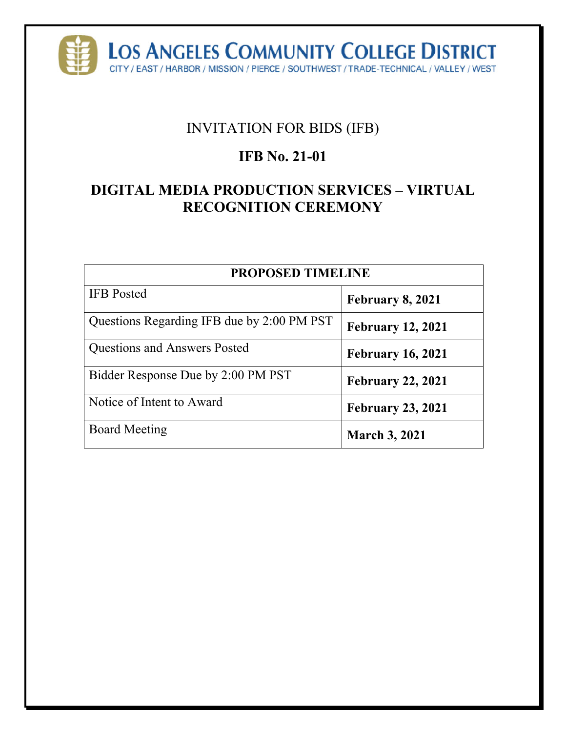

# INVITATION FOR BIDS (IFB)

# **IFB No. 21-01**

# **DIGITAL MEDIA PRODUCTION SERVICES – VIRTUAL RECOGNITION CEREMONY**

| <b>PROPOSED TIMELINE</b>                   |                          |  |  |
|--------------------------------------------|--------------------------|--|--|
| <b>IFB</b> Posted                          | February 8, 2021         |  |  |
| Questions Regarding IFB due by 2:00 PM PST | <b>February 12, 2021</b> |  |  |
| <b>Questions and Answers Posted</b>        | <b>February 16, 2021</b> |  |  |
| Bidder Response Due by 2:00 PM PST         | <b>February 22, 2021</b> |  |  |
| Notice of Intent to Award                  | <b>February 23, 2021</b> |  |  |
| <b>Board Meeting</b>                       | <b>March 3, 2021</b>     |  |  |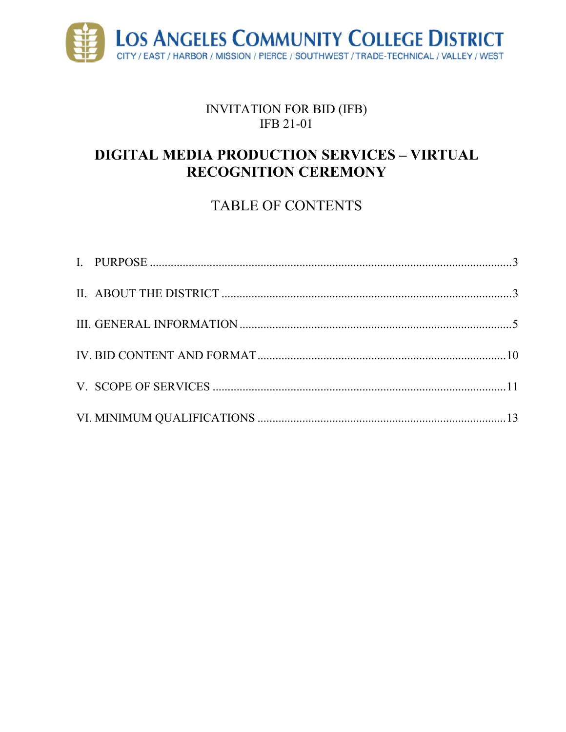

## INVITATION FOR BID (IFB) **IFB 21-01**

# **DIGITAL MEDIA PRODUCTION SERVICES - VIRTUAL RECOGNITION CEREMONY**

# **TABLE OF CONTENTS**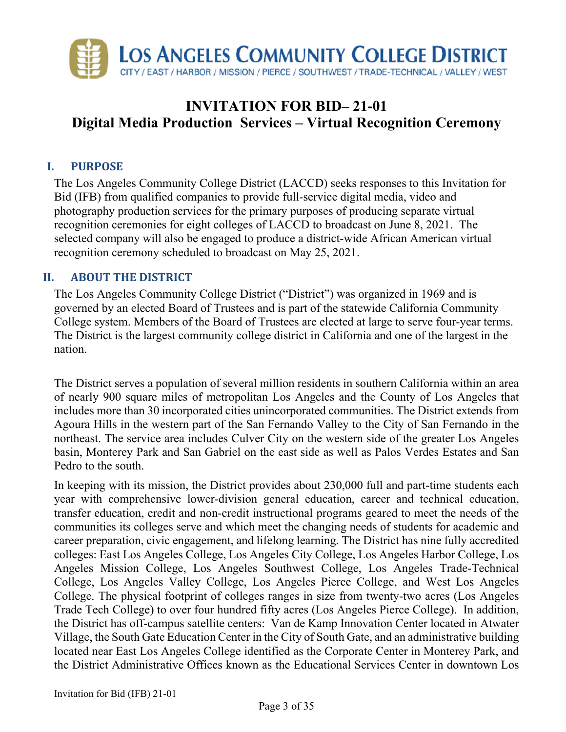

# **INVITATION FOR BID– 21-01 Digital Media Production Services – Virtual Recognition Ceremony**

## **I. PURPOSE**

The Los Angeles Community College District (LACCD) seeks responses to this Invitation for Bid (IFB) from qualified companies to provide full-service digital media, video and photography production services for the primary purposes of producing separate virtual recognition ceremonies for eight colleges of LACCD to broadcast on June 8, 2021. The selected company will also be engaged to produce a district-wide African American virtual recognition ceremony scheduled to broadcast on May 25, 2021.

#### **II. ABOUT THE DISTRICT**

The Los Angeles Community College District ("District") was organized in 1969 and is governed by an elected Board of Trustees and is part of the statewide California Community College system. Members of the Board of Trustees are elected at large to serve four-year terms. The District is the largest community college district in California and one of the largest in the nation.

The District serves a population of several million residents in southern California within an area of nearly 900 square miles of metropolitan Los Angeles and the County of Los Angeles that includes more than 30 incorporated cities unincorporated communities. The District extends from Agoura Hills in the western part of the San Fernando Valley to the City of San Fernando in the northeast. The service area includes Culver City on the western side of the greater Los Angeles basin, Monterey Park and San Gabriel on the east side as well as Palos Verdes Estates and San Pedro to the south.

In keeping with its mission, the District provides about 230,000 full and part-time students each year with comprehensive lower-division general education, career and technical education, transfer education, credit and non-credit instructional programs geared to meet the needs of the communities its colleges serve and which meet the changing needs of students for academic and career preparation, civic engagement, and lifelong learning. The District has nine fully accredited colleges: East Los Angeles College, Los Angeles City College, Los Angeles Harbor College, Los Angeles Mission College, Los Angeles Southwest College, Los Angeles Trade-Technical College, Los Angeles Valley College, Los Angeles Pierce College, and West Los Angeles College. The physical footprint of colleges ranges in size from twenty-two acres (Los Angeles Trade Tech College) to over four hundred fifty acres (Los Angeles Pierce College). In addition, the District has off-campus satellite centers: Van de Kamp Innovation Center located in Atwater Village, the South Gate Education Center in the City of South Gate, and an administrative building located near East Los Angeles College identified as the Corporate Center in Monterey Park, and the District Administrative Offices known as the Educational Services Center in downtown Los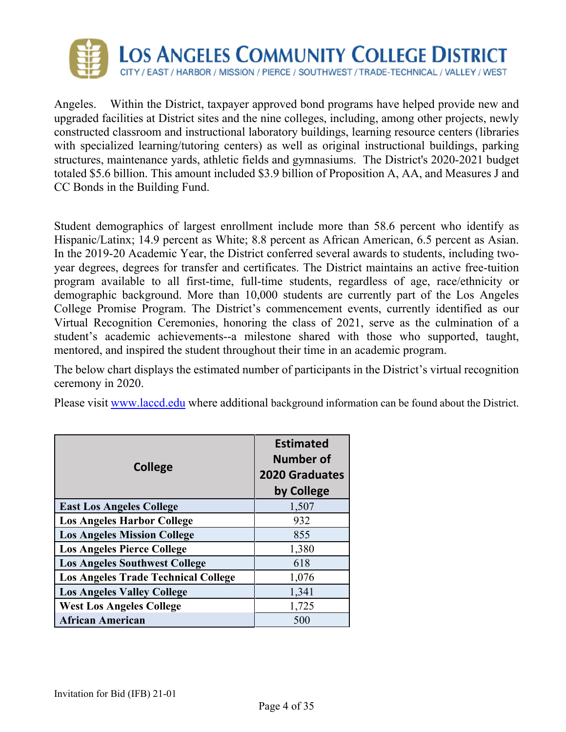

Angeles. Within the District, taxpayer approved bond programs have helped provide new and upgraded facilities at District sites and the nine colleges, including, among other projects, newly constructed classroom and instructional laboratory buildings, learning resource centers (libraries with specialized learning/tutoring centers) as well as original instructional buildings, parking structures, maintenance yards, athletic fields and gymnasiums. The District's 2020-2021 budget totaled \$5.6 billion. This amount included \$3.9 billion of Proposition A, AA, and Measures J and CC Bonds in the Building Fund.

Student demographics of largest enrollment include more than 58.6 percent who identify as Hispanic/Latinx; 14.9 percent as White; 8.8 percent as African American, 6.5 percent as Asian. In the 2019-20 Academic Year, the District conferred several awards to students, including twoyear degrees, degrees for transfer and certificates. The District maintains an active free-tuition program available to all first-time, full-time students, regardless of age, race/ethnicity or demographic background. More than 10,000 students are currently part of the Los Angeles College Promise Program. The District's commencement events, currently identified as our Virtual Recognition Ceremonies, honoring the class of 2021, serve as the culmination of a student's academic achievements--a milestone shared with those who supported, taught, mentored, and inspired the student throughout their time in an academic program.

The below chart displays the estimated number of participants in the District's virtual recognition ceremony in 2020.

Please visit www.laccd.edu where additional background information can be found about the District.

|                                            | <b>Estimated</b><br><b>Number of</b> |  |  |
|--------------------------------------------|--------------------------------------|--|--|
| <b>College</b>                             | <b>2020 Graduates</b>                |  |  |
|                                            | by College                           |  |  |
| <b>East Los Angeles College</b>            | 1,507                                |  |  |
| <b>Los Angeles Harbor College</b>          | 932                                  |  |  |
| <b>Los Angeles Mission College</b>         | 855                                  |  |  |
| <b>Los Angeles Pierce College</b>          | 1,380                                |  |  |
| <b>Los Angeles Southwest College</b>       | 618                                  |  |  |
| <b>Los Angeles Trade Technical College</b> | 1,076                                |  |  |
| <b>Los Angeles Valley College</b>          | 1,341                                |  |  |
| <b>West Los Angeles College</b>            | 1,725                                |  |  |
| <b>African American</b>                    | 500                                  |  |  |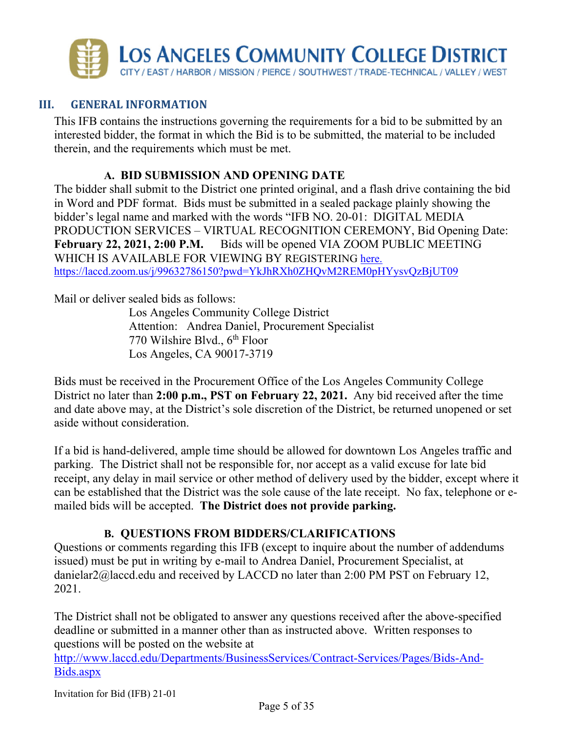

#### **III. GENERAL INFORMATION**

This IFB contains the instructions governing the requirements for a bid to be submitted by an interested bidder, the format in which the Bid is to be submitted, the material to be included therein, and the requirements which must be met.

#### **A. BID SUBMISSION AND OPENING DATE**

The bidder shall submit to the District one printed original, and a flash drive containing the bid in Word and PDF format. Bids must be submitted in a sealed package plainly showing the bidder's legal name and marked with the words "IFB NO. 20-01: DIGITAL MEDIA PRODUCTION SERVICES – VIRTUAL RECOGNITION CEREMONY, Bid Opening Date: February 22, 2021, 2:00 P.M. Bids will be opened VIA ZOOM PUBLIC MEETING WHICH IS AVAILABLE FOR VIEWING BY REGISTERING here. https://laccd.zoom.us/j/99632786150?pwd=YkJhRXh0ZHQvM2REM0pHYysvQzBjUT09

Mail or deliver sealed bids as follows:

Los Angeles Community College District Attention: Andrea Daniel, Procurement Specialist 770 Wilshire Blvd., 6<sup>th</sup> Floor Los Angeles, CA 90017-3719

Bids must be received in the Procurement Office of the Los Angeles Community College District no later than **2:00 p.m., PST on February 22, 2021.** Any bid received after the time and date above may, at the District's sole discretion of the District, be returned unopened or set aside without consideration.

If a bid is hand-delivered, ample time should be allowed for downtown Los Angeles traffic and parking. The District shall not be responsible for, nor accept as a valid excuse for late bid receipt, any delay in mail service or other method of delivery used by the bidder, except where it can be established that the District was the sole cause of the late receipt. No fax, telephone or emailed bids will be accepted. **The District does not provide parking.**

#### **B. QUESTIONS FROM BIDDERS/CLARIFICATIONS**

Questions or comments regarding this IFB (except to inquire about the number of addendums issued) must be put in writing by e-mail to Andrea Daniel, Procurement Specialist, at danielar2@laccd.edu and received by LACCD no later than 2:00 PM PST on February 12, 2021.

The District shall not be obligated to answer any questions received after the above-specified deadline or submitted in a manner other than as instructed above. Written responses to questions will be posted on the website at

http://www.laccd.edu/Departments/BusinessServices/Contract-Services/Pages/Bids-And-Bids.aspx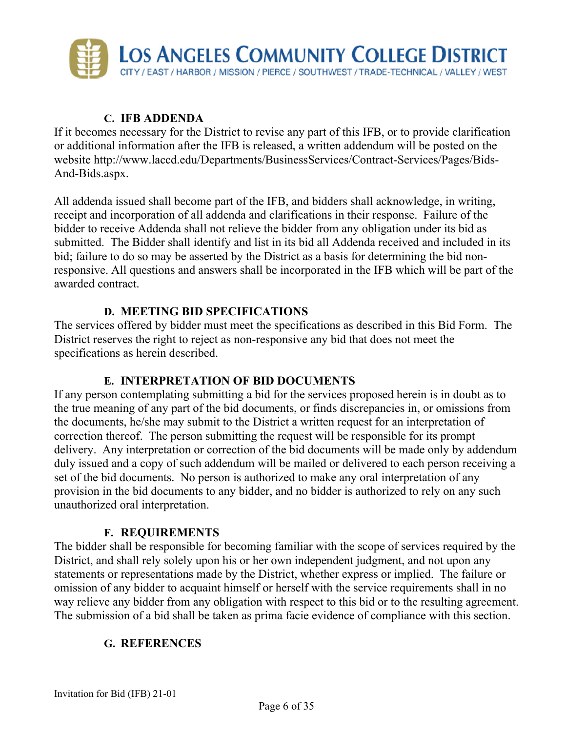

## **C. IFB ADDENDA**

If it becomes necessary for the District to revise any part of this IFB, or to provide clarification or additional information after the IFB is released, a written addendum will be posted on the website http://www.laccd.edu/Departments/BusinessServices/Contract-Services/Pages/Bids-And-Bids.aspx.

All addenda issued shall become part of the IFB, and bidders shall acknowledge, in writing, receipt and incorporation of all addenda and clarifications in their response. Failure of the bidder to receive Addenda shall not relieve the bidder from any obligation under its bid as submitted. The Bidder shall identify and list in its bid all Addenda received and included in its bid; failure to do so may be asserted by the District as a basis for determining the bid nonresponsive. All questions and answers shall be incorporated in the IFB which will be part of the awarded contract.

#### **D. MEETING BID SPECIFICATIONS**

The services offered by bidder must meet the specifications as described in this Bid Form. The District reserves the right to reject as non-responsive any bid that does not meet the specifications as herein described.

#### **E. INTERPRETATION OF BID DOCUMENTS**

If any person contemplating submitting a bid for the services proposed herein is in doubt as to the true meaning of any part of the bid documents, or finds discrepancies in, or omissions from the documents, he/she may submit to the District a written request for an interpretation of correction thereof. The person submitting the request will be responsible for its prompt delivery. Any interpretation or correction of the bid documents will be made only by addendum duly issued and a copy of such addendum will be mailed or delivered to each person receiving a set of the bid documents. No person is authorized to make any oral interpretation of any provision in the bid documents to any bidder, and no bidder is authorized to rely on any such unauthorized oral interpretation.

#### **F. REQUIREMENTS**

The bidder shall be responsible for becoming familiar with the scope of services required by the District, and shall rely solely upon his or her own independent judgment, and not upon any statements or representations made by the District, whether express or implied. The failure or omission of any bidder to acquaint himself or herself with the service requirements shall in no way relieve any bidder from any obligation with respect to this bid or to the resulting agreement. The submission of a bid shall be taken as prima facie evidence of compliance with this section.

#### **G. REFERENCES**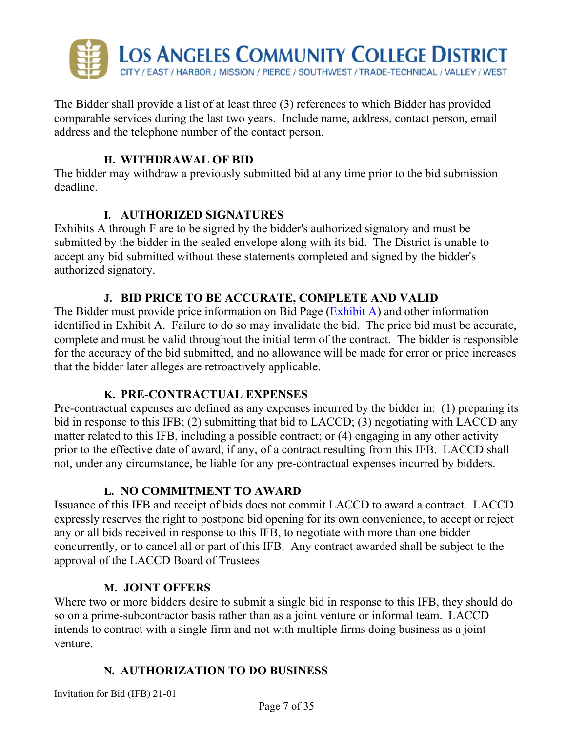

The Bidder shall provide a list of at least three (3) references to which Bidder has provided comparable services during the last two years. Include name, address, contact person, email address and the telephone number of the contact person.

#### **H. WITHDRAWAL OF BID**

The bidder may withdraw a previously submitted bid at any time prior to the bid submission deadline.

#### **I. AUTHORIZED SIGNATURES**

Exhibits A through F are to be signed by the bidder's authorized signatory and must be submitted by the bidder in the sealed envelope along with its bid. The District is unable to accept any bid submitted without these statements completed and signed by the bidder's authorized signatory.

### **J. BID PRICE TO BE ACCURATE, COMPLETE AND VALID**

The Bidder must provide price information on Bid Page (Exhibit A) and other information identified in Exhibit A. Failure to do so may invalidate the bid. The price bid must be accurate, complete and must be valid throughout the initial term of the contract. The bidder is responsible for the accuracy of the bid submitted, and no allowance will be made for error or price increases that the bidder later alleges are retroactively applicable.

#### **K. PRE-CONTRACTUAL EXPENSES**

Pre-contractual expenses are defined as any expenses incurred by the bidder in: (1) preparing its bid in response to this IFB; (2) submitting that bid to LACCD; (3) negotiating with LACCD any matter related to this IFB, including a possible contract; or (4) engaging in any other activity prior to the effective date of award, if any, of a contract resulting from this IFB. LACCD shall not, under any circumstance, be liable for any pre-contractual expenses incurred by bidders.

#### **L. NO COMMITMENT TO AWARD**

Issuance of this IFB and receipt of bids does not commit LACCD to award a contract. LACCD expressly reserves the right to postpone bid opening for its own convenience, to accept or reject any or all bids received in response to this IFB, to negotiate with more than one bidder concurrently, or to cancel all or part of this IFB. Any contract awarded shall be subject to the approval of the LACCD Board of Trustees

#### **M. JOINT OFFERS**

Where two or more bidders desire to submit a single bid in response to this IFB, they should do so on a prime-subcontractor basis rather than as a joint venture or informal team. LACCD intends to contract with a single firm and not with multiple firms doing business as a joint venture.

### **N. AUTHORIZATION TO DO BUSINESS**

Invitation for Bid (IFB) 21-01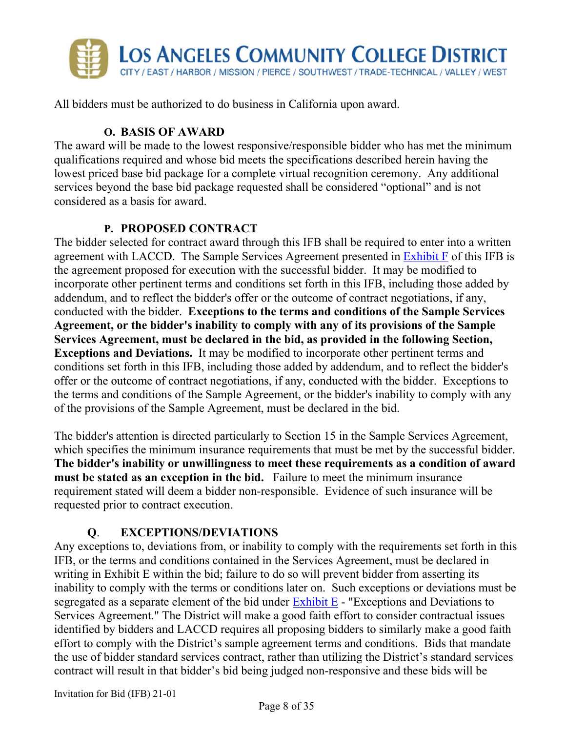

All bidders must be authorized to do business in California upon award.

#### **O. BASIS OF AWARD**

The award will be made to the lowest responsive/responsible bidder who has met the minimum qualifications required and whose bid meets the specifications described herein having the lowest priced base bid package for a complete virtual recognition ceremony. Any additional services beyond the base bid package requested shall be considered "optional" and is not considered as a basis for award.

#### **P. PROPOSED CONTRACT**

The bidder selected for contract award through this IFB shall be required to enter into a written agreement with LACCD. The Sample Services Agreement presented in Exhibit F of this IFB is the agreement proposed for execution with the successful bidder. It may be modified to incorporate other pertinent terms and conditions set forth in this IFB, including those added by addendum, and to reflect the bidder's offer or the outcome of contract negotiations, if any, conducted with the bidder. **Exceptions to the terms and conditions of the Sample Services Agreement, or the bidder's inability to comply with any of its provisions of the Sample Services Agreement, must be declared in the bid, as provided in the following Section, Exceptions and Deviations.** It may be modified to incorporate other pertinent terms and conditions set forth in this IFB, including those added by addendum, and to reflect the bidder's offer or the outcome of contract negotiations, if any, conducted with the bidder. Exceptions to the terms and conditions of the Sample Agreement, or the bidder's inability to comply with any of the provisions of the Sample Agreement, must be declared in the bid.

The bidder's attention is directed particularly to Section 15 in the Sample Services Agreement, which specifies the minimum insurance requirements that must be met by the successful bidder. **The bidder's inability or unwillingness to meet these requirements as a condition of award must be stated as an exception in the bid.** Failure to meet the minimum insurance requirement stated will deem a bidder non-responsible. Evidence of such insurance will be requested prior to contract execution.

### **Q**. **EXCEPTIONS/DEVIATIONS**

Any exceptions to, deviations from, or inability to comply with the requirements set forth in this IFB, or the terms and conditions contained in the Services Agreement, must be declared in writing in Exhibit E within the bid; failure to do so will prevent bidder from asserting its inability to comply with the terms or conditions later on. Such exceptions or deviations must be segregated as a separate element of the bid under  $\frac{Exhibit}{E}$  - "Exceptions and Deviations to Services Agreement." The District will make a good faith effort to consider contractual issues identified by bidders and LACCD requires all proposing bidders to similarly make a good faith effort to comply with the District's sample agreement terms and conditions. Bids that mandate the use of bidder standard services contract, rather than utilizing the District's standard services contract will result in that bidder's bid being judged non-responsive and these bids will be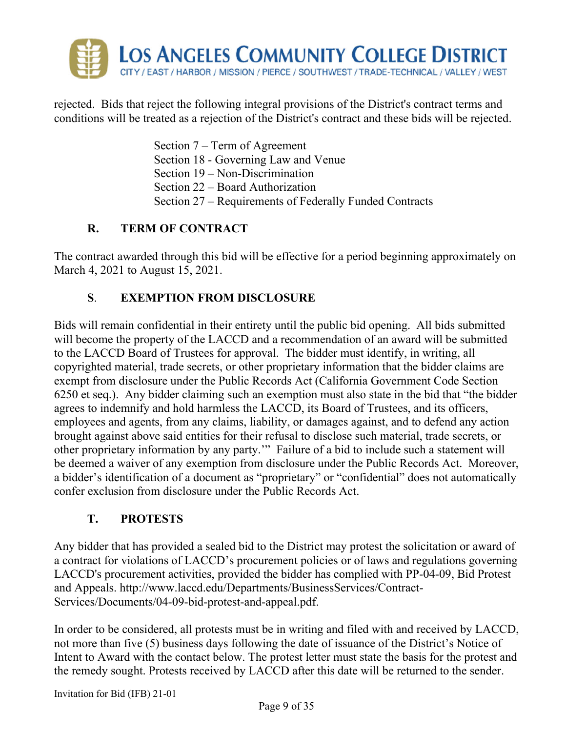

rejected. Bids that reject the following integral provisions of the District's contract terms and conditions will be treated as a rejection of the District's contract and these bids will be rejected.

> Section 7 – Term of Agreement Section 18 - Governing Law and Venue Section 19 – Non-Discrimination Section 22 – Board Authorization Section 27 – Requirements of Federally Funded Contracts

## **R. TERM OF CONTRACT**

The contract awarded through this bid will be effective for a period beginning approximately on March 4, 2021 to August 15, 2021.

## **S**. **EXEMPTION FROM DISCLOSURE**

Bids will remain confidential in their entirety until the public bid opening. All bids submitted will become the property of the LACCD and a recommendation of an award will be submitted to the LACCD Board of Trustees for approval. The bidder must identify, in writing, all copyrighted material, trade secrets, or other proprietary information that the bidder claims are exempt from disclosure under the Public Records Act (California Government Code Section 6250 et seq.). Any bidder claiming such an exemption must also state in the bid that "the bidder agrees to indemnify and hold harmless the LACCD, its Board of Trustees, and its officers, employees and agents, from any claims, liability, or damages against, and to defend any action brought against above said entities for their refusal to disclose such material, trade secrets, or other proprietary information by any party.'" Failure of a bid to include such a statement will be deemed a waiver of any exemption from disclosure under the Public Records Act. Moreover, a bidder's identification of a document as "proprietary" or "confidential" does not automatically confer exclusion from disclosure under the Public Records Act.

## **T. PROTESTS**

Any bidder that has provided a sealed bid to the District may protest the solicitation or award of a contract for violations of LACCD's procurement policies or of laws and regulations governing LACCD's procurement activities, provided the bidder has complied with PP-04-09, Bid Protest and Appeals. http://www.laccd.edu/Departments/BusinessServices/Contract-Services/Documents/04-09-bid-protest-and-appeal.pdf.

In order to be considered, all protests must be in writing and filed with and received by LACCD, not more than five (5) business days following the date of issuance of the District's Notice of Intent to Award with the contact below. The protest letter must state the basis for the protest and the remedy sought. Protests received by LACCD after this date will be returned to the sender.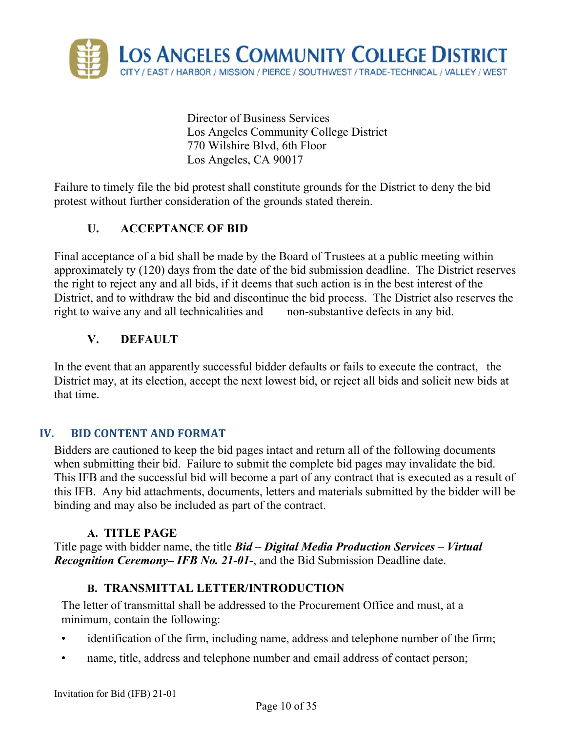

 Director of Business Services Los Angeles Community College District 770 Wilshire Blvd, 6th Floor Los Angeles, CA 90017

Failure to timely file the bid protest shall constitute grounds for the District to deny the bid protest without further consideration of the grounds stated therein.

## **U. ACCEPTANCE OF BID**

Final acceptance of a bid shall be made by the Board of Trustees at a public meeting within approximately ty (120) days from the date of the bid submission deadline. The District reserves the right to reject any and all bids, if it deems that such action is in the best interest of the District, and to withdraw the bid and discontinue the bid process. The District also reserves the right to waive any and all technicalities and non-substantive defects in any bid.

#### **V. DEFAULT**

In the event that an apparently successful bidder defaults or fails to execute the contract, the District may, at its election, accept the next lowest bid, or reject all bids and solicit new bids at that time.

#### **IV. BID CONTENT AND FORMAT**

Bidders are cautioned to keep the bid pages intact and return all of the following documents when submitting their bid. Failure to submit the complete bid pages may invalidate the bid. This IFB and the successful bid will become a part of any contract that is executed as a result of this IFB. Any bid attachments, documents, letters and materials submitted by the bidder will be binding and may also be included as part of the contract.

#### **A. TITLE PAGE**

Title page with bidder name, the title *Bid – Digital Media Production Services – Virtual Recognition Ceremony– IFB No. 21-01-*, and the Bid Submission Deadline date.

#### **B. TRANSMITTAL LETTER/INTRODUCTION**

The letter of transmittal shall be addressed to the Procurement Office and must, at a minimum, contain the following:

- identification of the firm, including name, address and telephone number of the firm;
- name, title, address and telephone number and email address of contact person;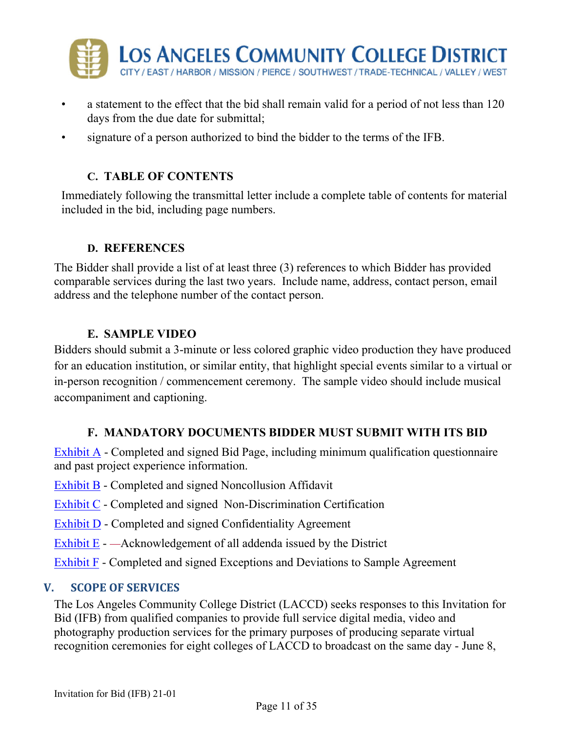

- a statement to the effect that the bid shall remain valid for a period of not less than 120 days from the due date for submittal;
- signature of a person authorized to bind the bidder to the terms of the IFB.

## **C. TABLE OF CONTENTS**

Immediately following the transmittal letter include a complete table of contents for material included in the bid, including page numbers.

#### **D. REFERENCES**

The Bidder shall provide a list of at least three (3) references to which Bidder has provided comparable services during the last two years. Include name, address, contact person, email address and the telephone number of the contact person.

#### **E. SAMPLE VIDEO**

Bidders should submit a 3-minute or less colored graphic video production they have produced for an education institution, or similar entity, that highlight special events similar to a virtual or in-person recognition / commencement ceremony. The sample video should include musical accompaniment and captioning.

#### **F. MANDATORY DOCUMENTS BIDDER MUST SUBMIT WITH ITS BID**

Exhibit  $\overline{A}$  - Completed and signed Bid Page, including minimum qualification questionnaire and past project experience information.

- Exhibit B Completed and signed Noncollusion Affidavit
- Exhibit C Completed and signed Non-Discrimination Certification
- Exhibit D Completed and signed Confidentiality Agreement
- Exhibit E — Acknowledgement of all addenda issued by the District
- Exhibit F Completed and signed Exceptions and Deviations to Sample Agreement

#### **V. SCOPE OF SERVICES**

The Los Angeles Community College District (LACCD) seeks responses to this Invitation for Bid (IFB) from qualified companies to provide full service digital media, video and photography production services for the primary purposes of producing separate virtual recognition ceremonies for eight colleges of LACCD to broadcast on the same day - June 8,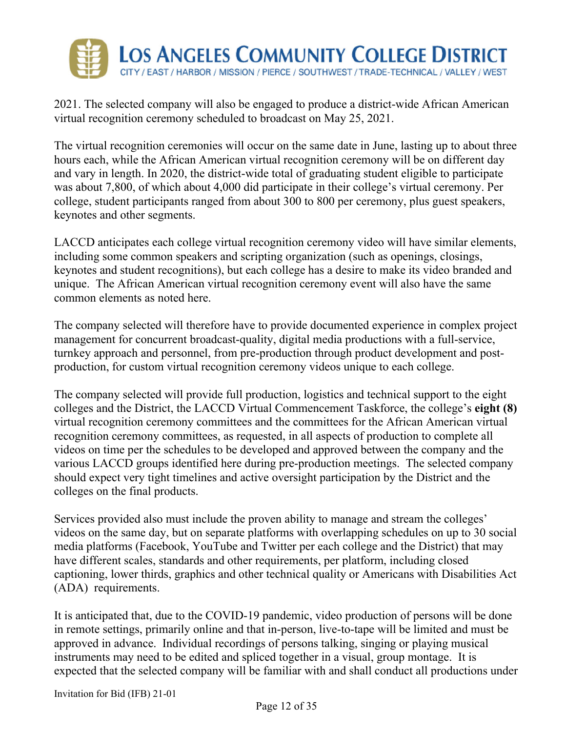

2021. The selected company will also be engaged to produce a district-wide African American virtual recognition ceremony scheduled to broadcast on May 25, 2021.

The virtual recognition ceremonies will occur on the same date in June, lasting up to about three hours each, while the African American virtual recognition ceremony will be on different day and vary in length. In 2020, the district-wide total of graduating student eligible to participate was about 7,800, of which about 4,000 did participate in their college's virtual ceremony. Per college, student participants ranged from about 300 to 800 per ceremony, plus guest speakers, keynotes and other segments.

LACCD anticipates each college virtual recognition ceremony video will have similar elements, including some common speakers and scripting organization (such as openings, closings, keynotes and student recognitions), but each college has a desire to make its video branded and unique. The African American virtual recognition ceremony event will also have the same common elements as noted here.

The company selected will therefore have to provide documented experience in complex project management for concurrent broadcast-quality, digital media productions with a full-service, turnkey approach and personnel, from pre-production through product development and postproduction, for custom virtual recognition ceremony videos unique to each college.

The company selected will provide full production, logistics and technical support to the eight colleges and the District, the LACCD Virtual Commencement Taskforce, the college's **eight (8)** virtual recognition ceremony committees and the committees for the African American virtual recognition ceremony committees, as requested, in all aspects of production to complete all videos on time per the schedules to be developed and approved between the company and the various LACCD groups identified here during pre-production meetings. The selected company should expect very tight timelines and active oversight participation by the District and the colleges on the final products.

Services provided also must include the proven ability to manage and stream the colleges' videos on the same day, but on separate platforms with overlapping schedules on up to 30 social media platforms (Facebook, YouTube and Twitter per each college and the District) that may have different scales, standards and other requirements, per platform, including closed captioning, lower thirds, graphics and other technical quality or Americans with Disabilities Act (ADA) requirements.

It is anticipated that, due to the COVID-19 pandemic, video production of persons will be done in remote settings, primarily online and that in-person, live-to-tape will be limited and must be approved in advance. Individual recordings of persons talking, singing or playing musical instruments may need to be edited and spliced together in a visual, group montage. It is expected that the selected company will be familiar with and shall conduct all productions under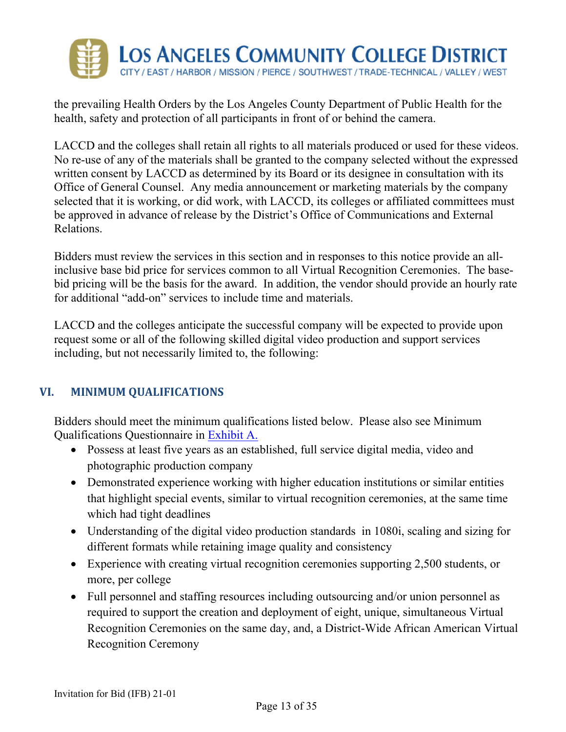

the prevailing Health Orders by the Los Angeles County Department of Public Health for the health, safety and protection of all participants in front of or behind the camera.

LACCD and the colleges shall retain all rights to all materials produced or used for these videos. No re-use of any of the materials shall be granted to the company selected without the expressed written consent by LACCD as determined by its Board or its designee in consultation with its Office of General Counsel. Any media announcement or marketing materials by the company selected that it is working, or did work, with LACCD, its colleges or affiliated committees must be approved in advance of release by the District's Office of Communications and External Relations.

Bidders must review the services in this section and in responses to this notice provide an allinclusive base bid price for services common to all Virtual Recognition Ceremonies. The basebid pricing will be the basis for the award. In addition, the vendor should provide an hourly rate for additional "add-on" services to include time and materials.

LACCD and the colleges anticipate the successful company will be expected to provide upon request some or all of the following skilled digital video production and support services including, but not necessarily limited to, the following:

### **VI. MINIMUM QUALIFICATIONS**

Bidders should meet the minimum qualifications listed below. Please also see Minimum Qualifications Questionnaire in Exhibit A.

- Possess at least five years as an established, full service digital media, video and photographic production company
- Demonstrated experience working with higher education institutions or similar entities that highlight special events, similar to virtual recognition ceremonies, at the same time which had tight deadlines
- Understanding of the digital video production standards in 1080i, scaling and sizing for different formats while retaining image quality and consistency
- Experience with creating virtual recognition ceremonies supporting 2,500 students, or more, per college
- Full personnel and staffing resources including outsourcing and/or union personnel as required to support the creation and deployment of eight, unique, simultaneous Virtual Recognition Ceremonies on the same day, and, a District-Wide African American Virtual Recognition Ceremony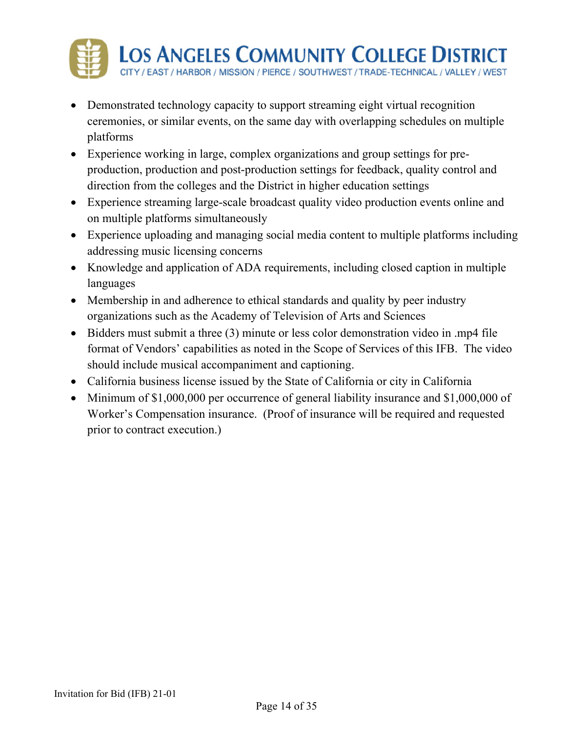

- Demonstrated technology capacity to support streaming eight virtual recognition ceremonies, or similar events, on the same day with overlapping schedules on multiple platforms
- Experience working in large, complex organizations and group settings for preproduction, production and post-production settings for feedback, quality control and direction from the colleges and the District in higher education settings
- Experience streaming large-scale broadcast quality video production events online and on multiple platforms simultaneously
- Experience uploading and managing social media content to multiple platforms including addressing music licensing concerns
- Knowledge and application of ADA requirements, including closed caption in multiple languages
- Membership in and adherence to ethical standards and quality by peer industry organizations such as the Academy of Television of Arts and Sciences
- Bidders must submit a three (3) minute or less color demonstration video in .mp4 file format of Vendors' capabilities as noted in the Scope of Services of this IFB. The video should include musical accompaniment and captioning.
- California business license issued by the State of California or city in California
- Minimum of \$1,000,000 per occurrence of general liability insurance and \$1,000,000 of Worker's Compensation insurance. (Proof of insurance will be required and requested prior to contract execution.)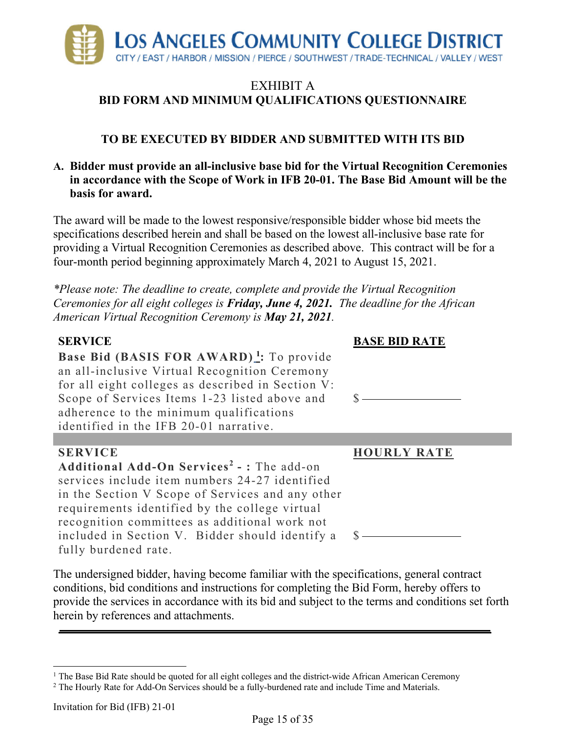

## **TO BE EXECUTED BY BIDDER AND SUBMITTED WITH ITS BID**

#### **A. Bidder must provide an all-inclusive base bid for the Virtual Recognition Ceremonies in accordance with the Scope of Work in IFB 20-01. The Base Bid Amount will be the basis for award.**

The award will be made to the lowest responsive/responsible bidder whose bid meets the specifications described herein and shall be based on the lowest all-inclusive base rate for providing a Virtual Recognition Ceremonies as described above. This contract will be for a four-month period beginning approximately March 4, 2021 to August 15, 2021.

*\*Please note: The deadline to create, complete and provide the Virtual Recognition Ceremonies for all eight colleges is Friday, June 4, 2021. The deadline for the African American Virtual Recognition Ceremony is May 21, 2021.* 

| <b>SERVICE</b>                                         | <b>BASE BID RATE</b> |
|--------------------------------------------------------|----------------------|
| <b>Base Bid (BASIS FOR AWARD)</b> : To provide         |                      |
| an all-inclusive Virtual Recognition Ceremony          |                      |
| for all eight colleges as described in Section V:      |                      |
| Scope of Services Items 1-23 listed above and          |                      |
| adherence to the minimum qualifications                |                      |
| identified in the IFB 20-01 narrative.                 |                      |
|                                                        |                      |
|                                                        |                      |
| <b>SERVICE</b>                                         | <b>HOURLY RATE</b>   |
| Additional Add-On Services <sup>2</sup> - : The add-on |                      |
| services include item numbers 24-27 identified         |                      |
| in the Section V Scope of Services and any other       |                      |
| requirements identified by the college virtual         |                      |
| recognition committees as additional work not          |                      |
| included in Section V. Bidder should identify a        |                      |

The undersigned bidder, having become familiar with the specifications, general contract conditions, bid conditions and instructions for completing the Bid Form, hereby offers to provide the services in accordance with its bid and subject to the terms and conditions set forth herein by references and attachments.

 $\overline{a}$ <sup>1</sup> The Base Bid Rate should be quoted for all eight colleges and the district-wide African American Ceremony  $\frac{2}{\pi}$  The Hourly Rate for Add-On Services should be a fully-burdened rate and include Time and Materials

<sup>&</sup>lt;sup>2</sup> The Hourly Rate for Add-On Services should be a fully-burdened rate and include Time and Materials.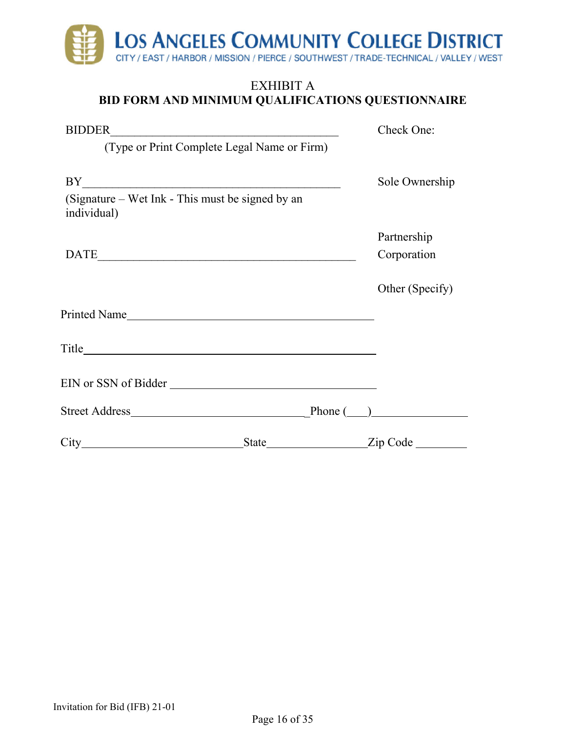

| <b>BIDDER</b>                                                   |              | Check One:      |
|-----------------------------------------------------------------|--------------|-----------------|
| (Type or Print Complete Legal Name or Firm)                     |              |                 |
|                                                                 |              |                 |
| BY                                                              |              | Sole Ownership  |
| (Signature – Wet Ink - This must be signed by an<br>individual) |              |                 |
|                                                                 |              | Partnership     |
|                                                                 |              | Corporation     |
|                                                                 |              | Other (Specify) |
|                                                                 |              |                 |
|                                                                 |              |                 |
| EIN or SSN of Bidder                                            |              |                 |
|                                                                 |              |                 |
| City                                                            | <b>State</b> | Zip Code        |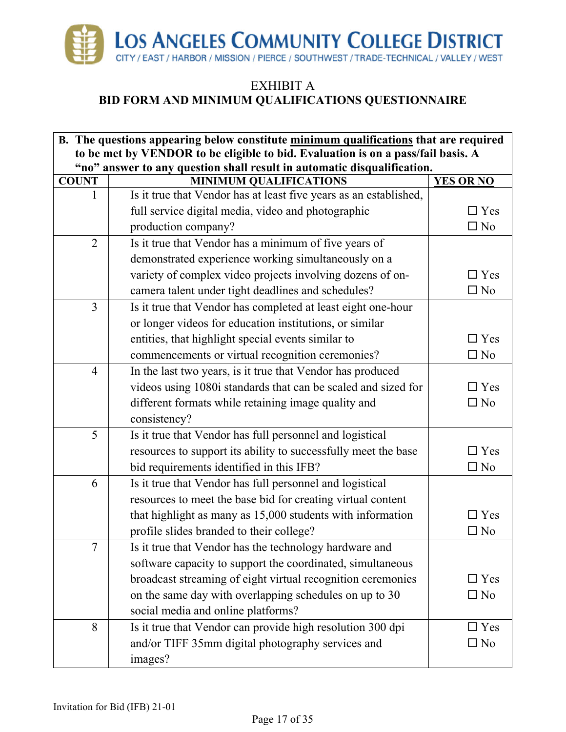

| to be met by VENDOR to be eligible to bid. Evaluation is on a pass/fail basis. A<br>"no" answer to any question shall result in automatic disqualification.<br><b>MINIMUM QUALIFICATIONS</b><br><b>YES OR NO</b><br><b>COUNT</b><br>Is it true that Vendor has at least five years as an established,<br>1 | $\square$ Yes<br>$\square$ No |
|------------------------------------------------------------------------------------------------------------------------------------------------------------------------------------------------------------------------------------------------------------------------------------------------------------|-------------------------------|
|                                                                                                                                                                                                                                                                                                            |                               |
|                                                                                                                                                                                                                                                                                                            |                               |
|                                                                                                                                                                                                                                                                                                            |                               |
|                                                                                                                                                                                                                                                                                                            |                               |
| full service digital media, video and photographic                                                                                                                                                                                                                                                         |                               |
| production company?                                                                                                                                                                                                                                                                                        |                               |
| Is it true that Vendor has a minimum of five years of<br>$\overline{2}$                                                                                                                                                                                                                                    |                               |
| demonstrated experience working simultaneously on a                                                                                                                                                                                                                                                        |                               |
| variety of complex video projects involving dozens of on-<br>$\Box$ Yes                                                                                                                                                                                                                                    |                               |
| camera talent under tight deadlines and schedules?<br>$\square$ No                                                                                                                                                                                                                                         |                               |
| 3<br>Is it true that Vendor has completed at least eight one-hour                                                                                                                                                                                                                                          |                               |
| or longer videos for education institutions, or similar                                                                                                                                                                                                                                                    |                               |
| entities, that highlight special events similar to<br>$\Box$ Yes                                                                                                                                                                                                                                           |                               |
| $\square$ No<br>commencements or virtual recognition ceremonies?                                                                                                                                                                                                                                           |                               |
| In the last two years, is it true that Vendor has produced<br>$\overline{4}$                                                                                                                                                                                                                               |                               |
| videos using 1080i standards that can be scaled and sized for<br>$\Box$ Yes                                                                                                                                                                                                                                |                               |
| different formats while retaining image quality and<br>$\square$ No                                                                                                                                                                                                                                        |                               |
| consistency?                                                                                                                                                                                                                                                                                               |                               |
| 5<br>Is it true that Vendor has full personnel and logistical                                                                                                                                                                                                                                              |                               |
| resources to support its ability to successfully meet the base                                                                                                                                                                                                                                             | $\Box$ Yes                    |
| $\square$ No<br>bid requirements identified in this IFB?                                                                                                                                                                                                                                                   |                               |
| Is it true that Vendor has full personnel and logistical<br>6                                                                                                                                                                                                                                              |                               |
| resources to meet the base bid for creating virtual content                                                                                                                                                                                                                                                |                               |
| that highlight as many as 15,000 students with information                                                                                                                                                                                                                                                 | $\square$ Yes                 |
| profile slides branded to their college?<br>$\Box$ No                                                                                                                                                                                                                                                      |                               |
| $\tau$<br>Is it true that Vendor has the technology hardware and                                                                                                                                                                                                                                           |                               |
| software capacity to support the coordinated, simultaneous                                                                                                                                                                                                                                                 |                               |
| broadcast streaming of eight virtual recognition ceremonies                                                                                                                                                                                                                                                | $\square$ Yes                 |
| on the same day with overlapping schedules on up to 30<br>$\square$ No                                                                                                                                                                                                                                     |                               |
| social media and online platforms?                                                                                                                                                                                                                                                                         |                               |
| 8<br>Is it true that Vendor can provide high resolution 300 dpi                                                                                                                                                                                                                                            | $\square$ Yes                 |
| and/or TIFF 35mm digital photography services and<br>$\square$ No                                                                                                                                                                                                                                          |                               |
| images?                                                                                                                                                                                                                                                                                                    |                               |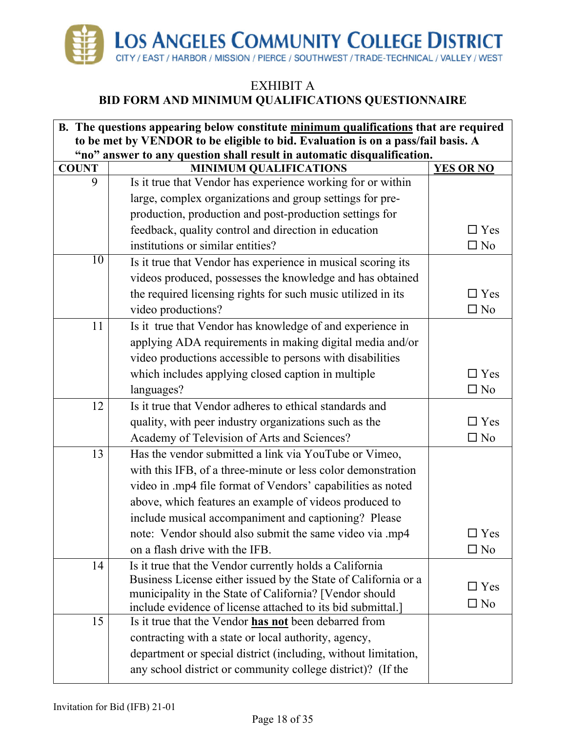

#### EXHIBIT A

## **BID FORM AND MINIMUM QUALIFICATIONS QUESTIONNAIRE**

| B. The questions appearing below constitute minimum qualifications that are required |                                                                                                                        |                  |  |  |  |
|--------------------------------------------------------------------------------------|------------------------------------------------------------------------------------------------------------------------|------------------|--|--|--|
| to be met by VENDOR to be eligible to bid. Evaluation is on a pass/fail basis. A     |                                                                                                                        |                  |  |  |  |
| <b>COUNT</b>                                                                         | "no" answer to any question shall result in automatic disqualification.<br><b>MINIMUM QUALIFICATIONS</b>               | <b>YES OR NO</b> |  |  |  |
| 9                                                                                    | Is it true that Vendor has experience working for or within                                                            |                  |  |  |  |
|                                                                                      | large, complex organizations and group settings for pre-                                                               |                  |  |  |  |
|                                                                                      | production, production and post-production settings for                                                                |                  |  |  |  |
|                                                                                      | feedback, quality control and direction in education                                                                   | $\square$ Yes    |  |  |  |
|                                                                                      | institutions or similar entities?                                                                                      | $\square$ No     |  |  |  |
| 10                                                                                   | Is it true that Vendor has experience in musical scoring its                                                           |                  |  |  |  |
|                                                                                      | videos produced, possesses the knowledge and has obtained                                                              |                  |  |  |  |
|                                                                                      | the required licensing rights for such music utilized in its                                                           | $\square$ Yes    |  |  |  |
|                                                                                      | video productions?                                                                                                     | $\square$ No     |  |  |  |
| 11                                                                                   | Is it true that Vendor has knowledge of and experience in                                                              |                  |  |  |  |
|                                                                                      | applying ADA requirements in making digital media and/or                                                               |                  |  |  |  |
|                                                                                      | video productions accessible to persons with disabilities                                                              |                  |  |  |  |
|                                                                                      | which includes applying closed caption in multiple                                                                     | $\Box$ Yes       |  |  |  |
|                                                                                      | languages?                                                                                                             | $\square$ No     |  |  |  |
| 12                                                                                   | Is it true that Vendor adheres to ethical standards and                                                                |                  |  |  |  |
|                                                                                      | quality, with peer industry organizations such as the                                                                  | $\square$ Yes    |  |  |  |
|                                                                                      | Academy of Television of Arts and Sciences?                                                                            | $\square$ No     |  |  |  |
| 13                                                                                   | Has the vendor submitted a link via YouTube or Vimeo,                                                                  |                  |  |  |  |
|                                                                                      | with this IFB, of a three-minute or less color demonstration                                                           |                  |  |  |  |
|                                                                                      | video in .mp4 file format of Vendors' capabilities as noted                                                            |                  |  |  |  |
|                                                                                      | above, which features an example of videos produced to                                                                 |                  |  |  |  |
|                                                                                      | include musical accompaniment and captioning? Please                                                                   |                  |  |  |  |
|                                                                                      | note: Vendor should also submit the same video via .mp4                                                                | ] Yes            |  |  |  |
|                                                                                      | on a flash drive with the IFB.                                                                                         | $\Box$ No        |  |  |  |
| 14                                                                                   | Is it true that the Vendor currently holds a California                                                                |                  |  |  |  |
|                                                                                      | Business License either issued by the State of California or a                                                         | $\square$ Yes    |  |  |  |
|                                                                                      | municipality in the State of California? [Vendor should<br>include evidence of license attached to its bid submittal.] | $\square$ No     |  |  |  |
| 15                                                                                   | Is it true that the Vendor has not been debarred from                                                                  |                  |  |  |  |
|                                                                                      | contracting with a state or local authority, agency,                                                                   |                  |  |  |  |
|                                                                                      | department or special district (including, without limitation,                                                         |                  |  |  |  |
|                                                                                      | any school district or community college district)? (If the                                                            |                  |  |  |  |
|                                                                                      |                                                                                                                        |                  |  |  |  |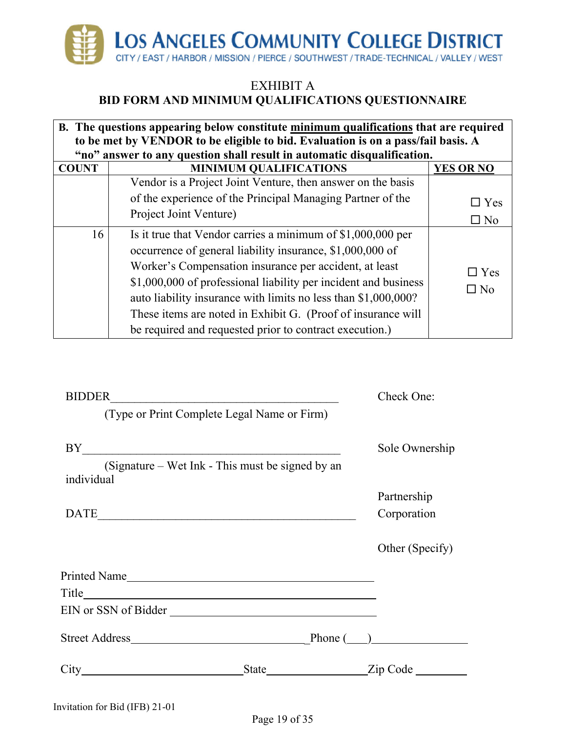

| B. The questions appearing below constitute minimum qualifications that are required |                                                                                                                                                                                                                                                                                                                                                                                                                                                    |                            |  |  |  |  |
|--------------------------------------------------------------------------------------|----------------------------------------------------------------------------------------------------------------------------------------------------------------------------------------------------------------------------------------------------------------------------------------------------------------------------------------------------------------------------------------------------------------------------------------------------|----------------------------|--|--|--|--|
|                                                                                      | to be met by VENDOR to be eligible to bid. Evaluation is on a pass/fail basis. A                                                                                                                                                                                                                                                                                                                                                                   |                            |  |  |  |  |
|                                                                                      | "no" answer to any question shall result in automatic disqualification.                                                                                                                                                                                                                                                                                                                                                                            |                            |  |  |  |  |
| <b>COUNT</b>                                                                         | <b>MINIMUM QUALIFICATIONS</b>                                                                                                                                                                                                                                                                                                                                                                                                                      | <b>YES OR NO</b>           |  |  |  |  |
|                                                                                      | Vendor is a Project Joint Venture, then answer on the basis                                                                                                                                                                                                                                                                                                                                                                                        |                            |  |  |  |  |
|                                                                                      | of the experience of the Principal Managing Partner of the                                                                                                                                                                                                                                                                                                                                                                                         | $\Box$ Yes                 |  |  |  |  |
|                                                                                      | Project Joint Venture)                                                                                                                                                                                                                                                                                                                                                                                                                             | $\square$ No               |  |  |  |  |
| 16                                                                                   | Is it true that Vendor carries a minimum of \$1,000,000 per<br>occurrence of general liability insurance, \$1,000,000 of<br>Worker's Compensation insurance per accident, at least<br>\$1,000,000 of professional liability per incident and business<br>auto liability insurance with limits no less than \$1,000,000?<br>These items are noted in Exhibit G. (Proof of insurance will<br>be required and requested prior to contract execution.) | $\Box$ Yes<br>$\square$ No |  |  |  |  |

| <b>BIDDER</b>                                                  |  | Check One:      |
|----------------------------------------------------------------|--|-----------------|
| (Type or Print Complete Legal Name or Firm)                    |  |                 |
| BY                                                             |  | Sole Ownership  |
| (Signature – Wet Ink - This must be signed by an<br>individual |  |                 |
|                                                                |  | Partnership     |
|                                                                |  | Corporation     |
|                                                                |  | Other (Specify) |
| Printed Name                                                   |  |                 |
|                                                                |  |                 |
| EIN or SSN of Bidder                                           |  |                 |
|                                                                |  |                 |
|                                                                |  | State Zip Code  |
|                                                                |  |                 |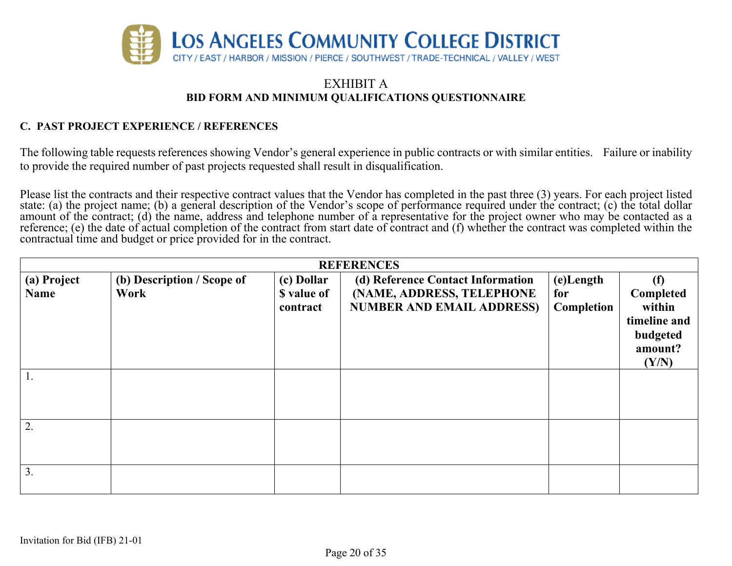

#### **C. PAST PROJECT EXPERIENCE / REFERENCES**

The following table requests references showing Vendor's general experience in public contracts or with similar entities. Failure or inability to provide the required number of past projects requested shall result in disqualification.

Please list the contracts and their respective contract values that the Vendor has completed in the past three (3) years. For each project listed state: (a) the project name; (b) a general description of the Vendor's scope of performance required under the contract; (c) the total dollar amount of the contract; (d) the name, address and telephone number of a representative for the project owner who may be contacted as a reference; (e) the date of actual completion of the contract from start date of contract and (f) whether the contract was completed within the contractual time and budget or price provided for in the contract.

|             | <b>REFERENCES</b>          |             |                                   |            |              |  |
|-------------|----------------------------|-------------|-----------------------------------|------------|--------------|--|
| (a) Project | (b) Description / Scope of | (c) Dollar  | (d) Reference Contact Information | (e)Length  | (f)          |  |
| <b>Name</b> | Work                       | \$ value of | (NAME, ADDRESS, TELEPHONE         | for        | Completed    |  |
|             |                            | contract    | <b>NUMBER AND EMAIL ADDRESS)</b>  | Completion | within       |  |
|             |                            |             |                                   |            | timeline and |  |
|             |                            |             |                                   |            | budgeted     |  |
|             |                            |             |                                   |            | amount?      |  |
|             |                            |             |                                   |            | (Y/N)        |  |
|             |                            |             |                                   |            |              |  |
|             |                            |             |                                   |            |              |  |
|             |                            |             |                                   |            |              |  |
|             |                            |             |                                   |            |              |  |
| 2.          |                            |             |                                   |            |              |  |
|             |                            |             |                                   |            |              |  |
|             |                            |             |                                   |            |              |  |
| 3.          |                            |             |                                   |            |              |  |
|             |                            |             |                                   |            |              |  |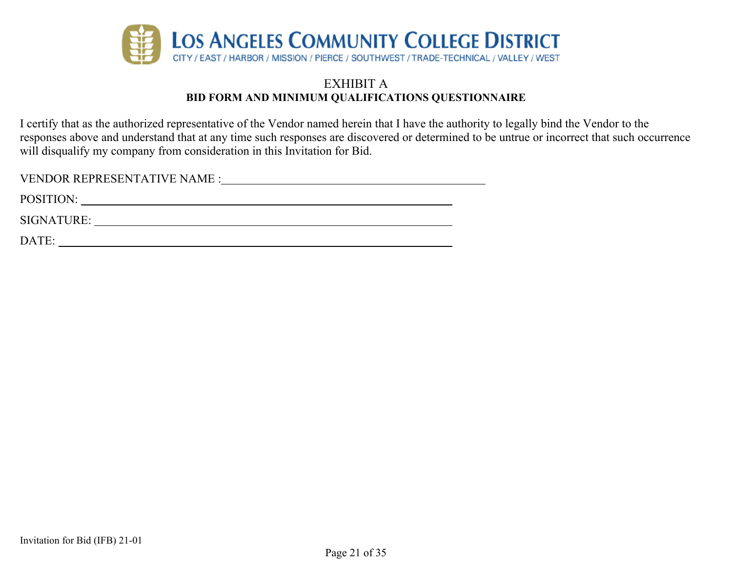

I certify that as the authorized representative of the Vendor named herein that I have the authority to legally bind the Vendor to the responses above and understand that at any time such responses are discovered or determined to be untrue or incorrect that such occurrence will disqualify my company from consideration in this Invitation for Bid.

| <b>VENDOR REPRESENTATIVE NAME :</b> |  |
|-------------------------------------|--|
| POSITION:                           |  |
| SIGNATURE:                          |  |
| DATE:                               |  |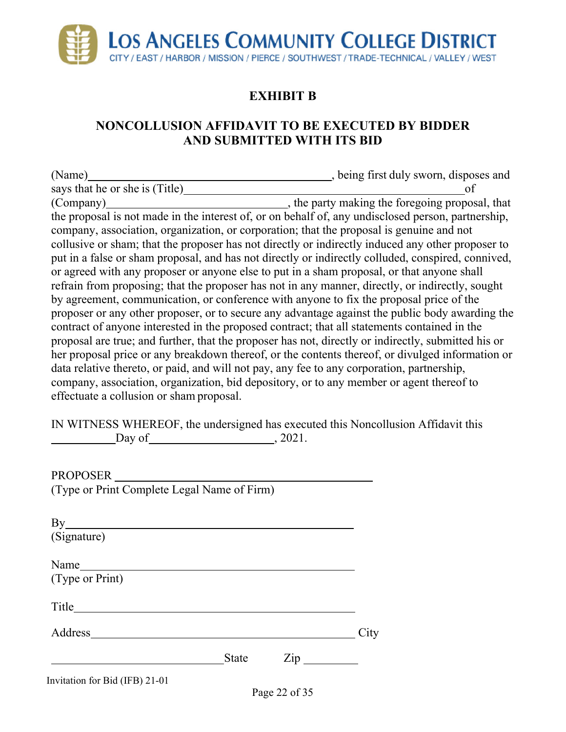

# **EXHIBIT B**

## **NONCOLLUSION AFFIDAVIT TO BE EXECUTED BY BIDDER AND SUBMITTED WITH ITS BID**

(Name) (Name)  $\qquad \qquad$  , being first duly sworn, disposes and says that he or she is (Title) of (Company) (Company) (Company)  $\qquad \qquad$ , the party making the foregoing proposal, that the proposal is not made in the interest of, or on behalf of, any undisclosed person, partnership, company, association, organization, or corporation; that the proposal is genuine and not collusive or sham; that the proposer has not directly or indirectly induced any other proposer to put in a false or sham proposal, and has not directly or indirectly colluded, conspired, connived, or agreed with any proposer or anyone else to put in a sham proposal, or that anyone shall refrain from proposing; that the proposer has not in any manner, directly, or indirectly, sought by agreement, communication, or conference with anyone to fix the proposal price of the proposer or any other proposer, or to secure any advantage against the public body awarding the contract of anyone interested in the proposed contract; that all statements contained in the proposal are true; and further, that the proposer has not, directly or indirectly, submitted his or her proposal price or any breakdown thereof, or the contents thereof, or divulged information or data relative thereto, or paid, and will not pay, any fee to any corporation, partnership, company, association, organization, bid depository, or to any member or agent thereof to effectuate a collusion or sham proposal.

IN WITNESS WHEREOF, the undersigned has executed this Noncollusion Affidavit this  $\qquad \qquad$  Day of  $\qquad \qquad$ , 2021.

PROPOSER (Type or Print Complete Legal Name of Firm)

| By                             |              |                              |      |
|--------------------------------|--------------|------------------------------|------|
| (Signature)                    |              |                              |      |
|                                |              |                              |      |
|                                |              |                              |      |
| (Type or Print)                |              |                              |      |
|                                |              |                              |      |
| Title                          |              |                              |      |
|                                |              |                              |      |
| Address                        |              |                              | City |
|                                |              |                              |      |
|                                | <b>State</b> | $\mathsf{Zip} \_\_\_\_\_\_\$ |      |
| Invitation for Bid (IFB) 21-01 |              |                              |      |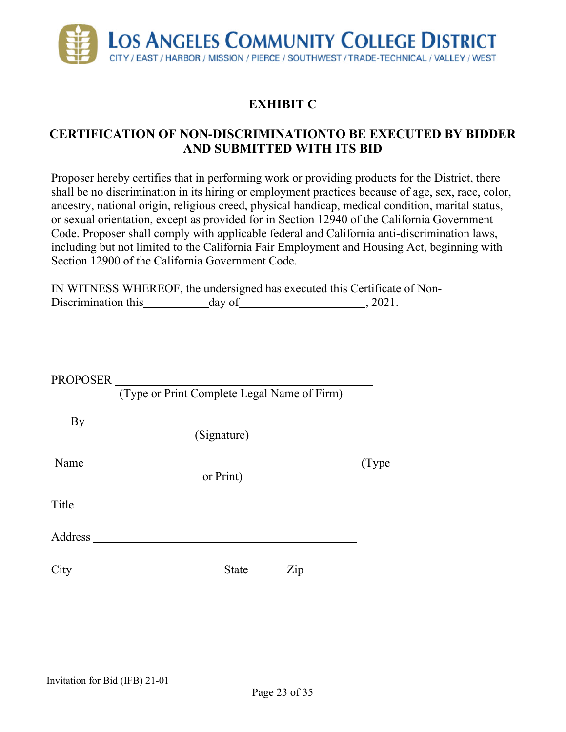

## **EXHIBIT C**

## **CERTIFICATION OF NON-DISCRIMINATIONTO BE EXECUTED BY BIDDER AND SUBMITTED WITH ITS BID**

Proposer hereby certifies that in performing work or providing products for the District, there shall be no discrimination in its hiring or employment practices because of age, sex, race, color, ancestry, national origin, religious creed, physical handicap, medical condition, marital status, or sexual orientation, except as provided for in Section 12940 of the California Government Code. Proposer shall comply with applicable federal and California anti-discrimination laws, including but not limited to the California Fair Employment and Housing Act, beginning with Section 12900 of the California Government Code.

IN WITNESS WHEREOF, the undersigned has executed this Certificate of Non-Discrimination this day of 3021.

| PROPOSER                             |                                                                               |        |
|--------------------------------------|-------------------------------------------------------------------------------|--------|
|                                      | (Type or Print Complete Legal Name of Firm)                                   |        |
|                                      |                                                                               |        |
|                                      | (Signature)                                                                   |        |
|                                      |                                                                               | (Type) |
|                                      | or Print)                                                                     |        |
| Title <b>The Communist Structure</b> |                                                                               |        |
| Address ___                          |                                                                               |        |
| $City_$                              | State <u>Zip</u><br><u> 1980 - Andrea Stadt Britain, amerikansk politik (</u> |        |
|                                      |                                                                               |        |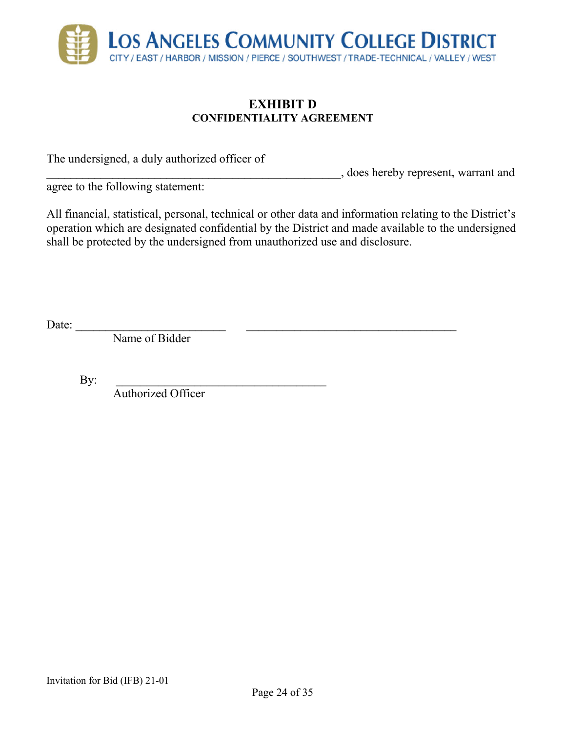

#### **EXHIBIT D CONFIDENTIALITY AGREEMENT**

The undersigned, a duly authorized officer of

\_\_\_\_\_\_\_\_\_\_\_\_\_\_\_\_\_\_\_\_\_\_\_\_\_\_\_\_\_\_\_\_\_\_\_\_\_\_\_\_\_\_\_\_\_\_\_\_\_, does hereby represent, warrant and

agree to the following statement:

All financial, statistical, personal, technical or other data and information relating to the District's operation which are designated confidential by the District and made available to the undersigned shall be protected by the undersigned from unauthorized use and disclosure.

Date:  $\frac{2}{\sqrt{2\pi}}$ 

Name of Bidder

 $\mathbf{By:}$ 

Authorized Officer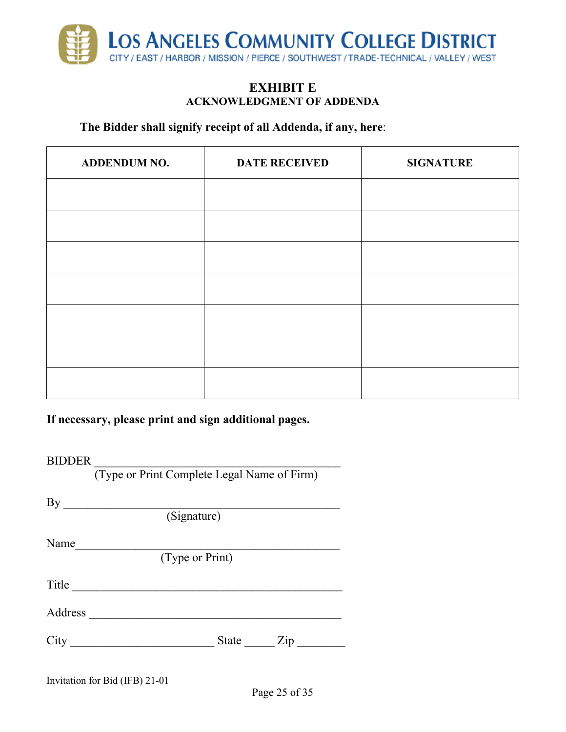

#### **EXHIBIT E ACKNOWLEDGMENT OF ADDENDA**

#### **The Bidder shall signify receipt of all Addenda, if any, here**:

| <b>ADDENDUM NO.</b> | <b>DATE RECEIVED</b> | <b>SIGNATURE</b> |
|---------------------|----------------------|------------------|
|                     |                      |                  |
|                     |                      |                  |
|                     |                      |                  |
|                     |                      |                  |
|                     |                      |                  |
|                     |                      |                  |
|                     |                      |                  |

**If necessary, please print and sign additional pages.** 

BIDDER \_\_\_\_\_\_\_\_\_\_\_\_\_\_\_\_\_\_\_\_\_\_\_\_\_\_\_\_\_\_\_\_\_\_\_\_\_\_\_\_\_

(Type or Print Complete Legal Name of Firm)

 $\mathbf{By}$ 

(Signature)

Name $\Box$ 

(Type or Print)

Title \_\_\_\_\_\_\_\_\_\_\_\_\_\_\_\_\_\_\_\_\_\_\_\_\_\_\_\_\_\_\_\_\_\_\_\_\_\_\_\_\_\_\_\_\_

Address \_\_\_\_\_\_\_\_\_\_\_\_\_\_\_\_\_\_\_\_\_\_\_\_\_\_\_\_\_\_\_\_\_\_\_\_\_\_\_\_\_\_

| $\sim$<br>◡ェ៶ | uuw | --- |  |
|---------------|-----|-----|--|
|---------------|-----|-----|--|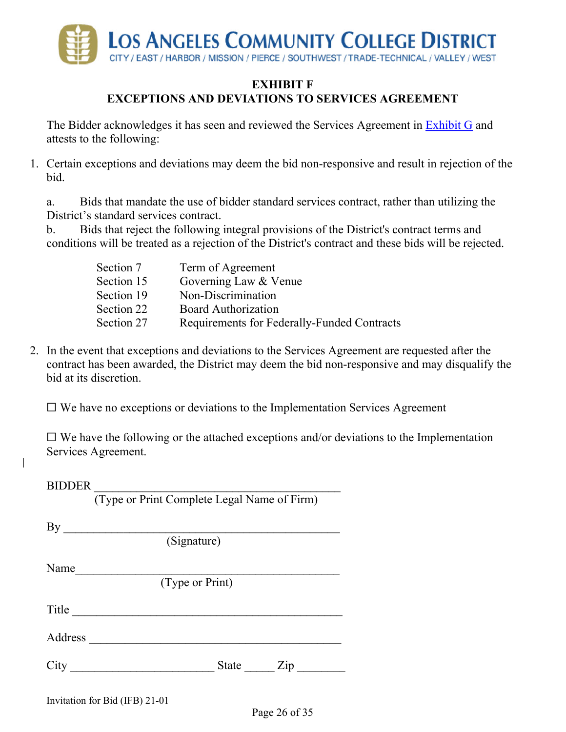

#### **EXHIBIT F**

## **EXCEPTIONS AND DEVIATIONS TO SERVICES AGREEMENT**

The Bidder acknowledges it has seen and reviewed the Services Agreement in Exhibit G and attests to the following:

1. Certain exceptions and deviations may deem the bid non-responsive and result in rejection of the bid.

a. Bids that mandate the use of bidder standard services contract, rather than utilizing the District's standard services contract.

b. Bids that reject the following integral provisions of the District's contract terms and conditions will be treated as a rejection of the District's contract and these bids will be rejected.

| Term of Agreement                           |
|---------------------------------------------|
| Governing Law & Venue                       |
| Non-Discrimination                          |
| <b>Board Authorization</b>                  |
| Requirements for Federally-Funded Contracts |
|                                             |

2. In the event that exceptions and deviations to the Services Agreement are requested after the contract has been awarded, the District may deem the bid non-responsive and may disqualify the bid at its discretion.

 $\Box$  We have no exceptions or deviations to the Implementation Services Agreement

 $\Box$  We have the following or the attached exceptions and/or deviations to the Implementation Services Agreement.

| <b>BIDDER</b> |                                             |
|---------------|---------------------------------------------|
|               | (Type or Print Complete Legal Name of Firm) |
| By            |                                             |
|               | (Signature)                                 |
| Name          |                                             |
|               | (Type or Print)                             |
| Title         |                                             |
| Address       |                                             |
| City          | State<br>$\overline{Z}$ ip                  |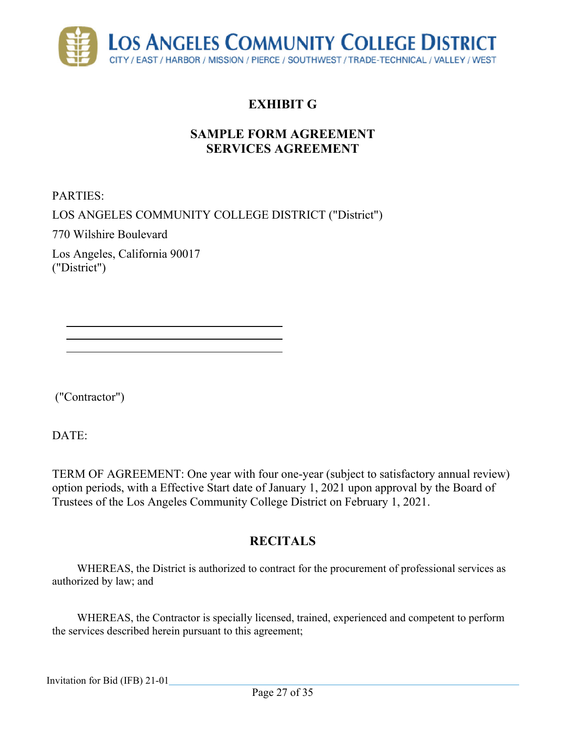

## **SAMPLE FORM AGREEMENT SERVICES AGREEMENT**

PARTIES:

LOS ANGELES COMMUNITY COLLEGE DISTRICT ("District")

770 Wilshire Boulevard

Los Angeles, California 90017 ("District")

("Contractor")

DATE:

TERM OF AGREEMENT: One year with four one-year (subject to satisfactory annual review) option periods, with a Effective Start date of January 1, 2021 upon approval by the Board of Trustees of the Los Angeles Community College District on February 1, 2021.

## **RECITALS**

WHEREAS, the District is authorized to contract for the procurement of professional services as authorized by law; and

WHEREAS, the Contractor is specially licensed, trained, experienced and competent to perform the services described herein pursuant to this agreement;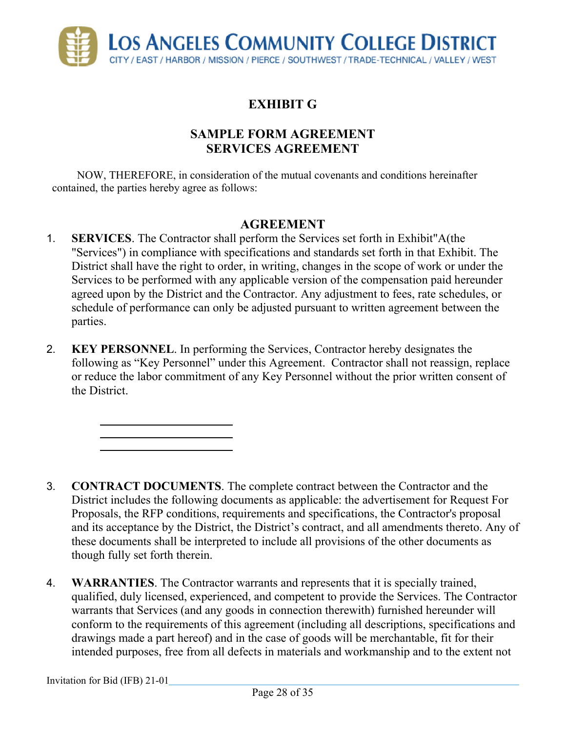

## **SAMPLE FORM AGREEMENT SERVICES AGREEMENT**

NOW, THEREFORE, in consideration of the mutual covenants and conditions hereinafter contained, the parties hereby agree as follows:

### **AGREEMENT**

- 1. **SERVICES**. The Contractor shall perform the Services set forth in Exhibit"A(the "Services") in compliance with specifications and standards set forth in that Exhibit. The District shall have the right to order, in writing, changes in the scope of work or under the Services to be performed with any applicable version of the compensation paid hereunder agreed upon by the District and the Contractor. Any adjustment to fees, rate schedules, or schedule of performance can only be adjusted pursuant to written agreement between the parties.
- 2. **KEY PERSONNEL**. In performing the Services, Contractor hereby designates the following as "Key Personnel" under this Agreement. Contractor shall not reassign, replace or reduce the labor commitment of any Key Personnel without the prior written consent of the District.

- 3. **CONTRACT DOCUMENTS**. The complete contract between the Contractor and the District includes the following documents as applicable: the advertisement for Request For Proposals, the RFP conditions, requirements and specifications, the Contractor's proposal and its acceptance by the District, the District's contract, and all amendments thereto. Any of these documents shall be interpreted to include all provisions of the other documents as though fully set forth therein.
- 4. **WARRANTIES**. The Contractor warrants and represents that it is specially trained, qualified, duly licensed, experienced, and competent to provide the Services. The Contractor warrants that Services (and any goods in connection therewith) furnished hereunder will conform to the requirements of this agreement (including all descriptions, specifications and drawings made a part hereof) and in the case of goods will be merchantable, fit for their intended purposes, free from all defects in materials and workmanship and to the extent not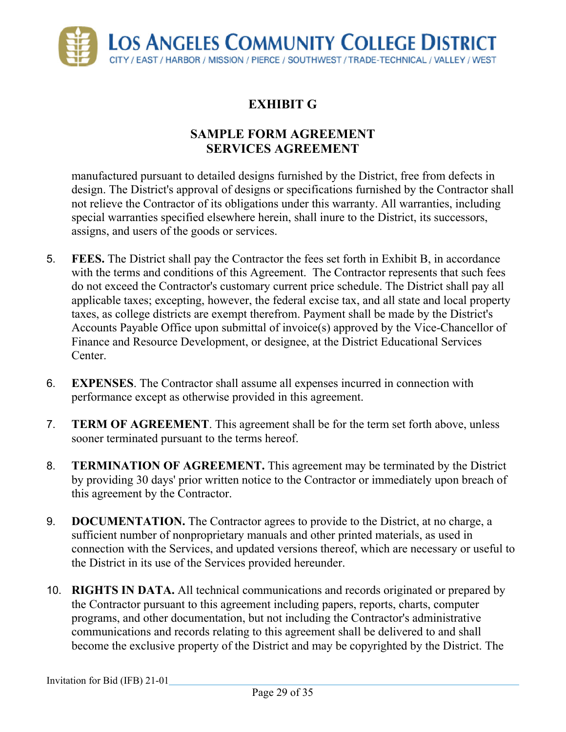

## **SAMPLE FORM AGREEMENT SERVICES AGREEMENT**

manufactured pursuant to detailed designs furnished by the District, free from defects in design. The District's approval of designs or specifications furnished by the Contractor shall not relieve the Contractor of its obligations under this warranty. All warranties, including special warranties specified elsewhere herein, shall inure to the District, its successors, assigns, and users of the goods or services.

- 5. **FEES.** The District shall pay the Contractor the fees set forth in Exhibit B, in accordance with the terms and conditions of this Agreement. The Contractor represents that such fees do not exceed the Contractor's customary current price schedule. The District shall pay all applicable taxes; excepting, however, the federal excise tax, and all state and local property taxes, as college districts are exempt therefrom. Payment shall be made by the District's Accounts Payable Office upon submittal of invoice(s) approved by the Vice-Chancellor of Finance and Resource Development, or designee, at the District Educational Services Center.
- 6. **EXPENSES**. The Contractor shall assume all expenses incurred in connection with performance except as otherwise provided in this agreement.
- 7. **TERM OF AGREEMENT**. This agreement shall be for the term set forth above, unless sooner terminated pursuant to the terms hereof.
- 8. **TERMINATION OF AGREEMENT.** This agreement may be terminated by the District by providing 30 days' prior written notice to the Contractor or immediately upon breach of this agreement by the Contractor.
- 9. **DOCUMENTATION.** The Contractor agrees to provide to the District, at no charge, a sufficient number of nonproprietary manuals and other printed materials, as used in connection with the Services, and updated versions thereof, which are necessary or useful to the District in its use of the Services provided hereunder.
- 10. **RIGHTS IN DATA.** All technical communications and records originated or prepared by the Contractor pursuant to this agreement including papers, reports, charts, computer programs, and other documentation, but not including the Contractor's administrative communications and records relating to this agreement shall be delivered to and shall become the exclusive property of the District and may be copyrighted by the District. The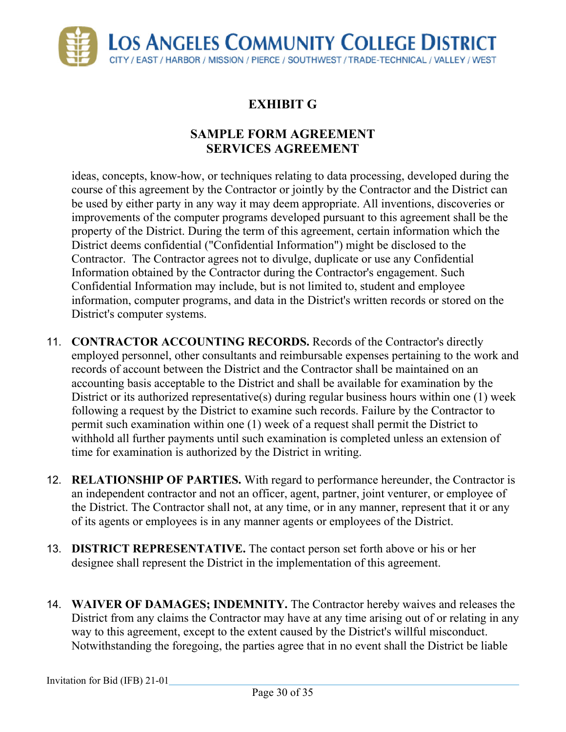

## **SAMPLE FORM AGREEMENT SERVICES AGREEMENT**

ideas, concepts, know-how, or techniques relating to data processing, developed during the course of this agreement by the Contractor or jointly by the Contractor and the District can be used by either party in any way it may deem appropriate. All inventions, discoveries or improvements of the computer programs developed pursuant to this agreement shall be the property of the District. During the term of this agreement, certain information which the District deems confidential ("Confidential Information") might be disclosed to the Contractor. The Contractor agrees not to divulge, duplicate or use any Confidential Information obtained by the Contractor during the Contractor's engagement. Such Confidential Information may include, but is not limited to, student and employee information, computer programs, and data in the District's written records or stored on the District's computer systems.

- 11. **CONTRACTOR ACCOUNTING RECORDS.** Records of the Contractor's directly employed personnel, other consultants and reimbursable expenses pertaining to the work and records of account between the District and the Contractor shall be maintained on an accounting basis acceptable to the District and shall be available for examination by the District or its authorized representative(s) during regular business hours within one (1) week following a request by the District to examine such records. Failure by the Contractor to permit such examination within one (1) week of a request shall permit the District to withhold all further payments until such examination is completed unless an extension of time for examination is authorized by the District in writing.
- 12. **RELATIONSHIP OF PARTIES.** With regard to performance hereunder, the Contractor is an independent contractor and not an officer, agent, partner, joint venturer, or employee of the District. The Contractor shall not, at any time, or in any manner, represent that it or any of its agents or employees is in any manner agents or employees of the District.
- 13. **DISTRICT REPRESENTATIVE.** The contact person set forth above or his or her designee shall represent the District in the implementation of this agreement.
- 14. **WAIVER OF DAMAGES; INDEMNITY.** The Contractor hereby waives and releases the District from any claims the Contractor may have at any time arising out of or relating in any way to this agreement, except to the extent caused by the District's willful misconduct. Notwithstanding the foregoing, the parties agree that in no event shall the District be liable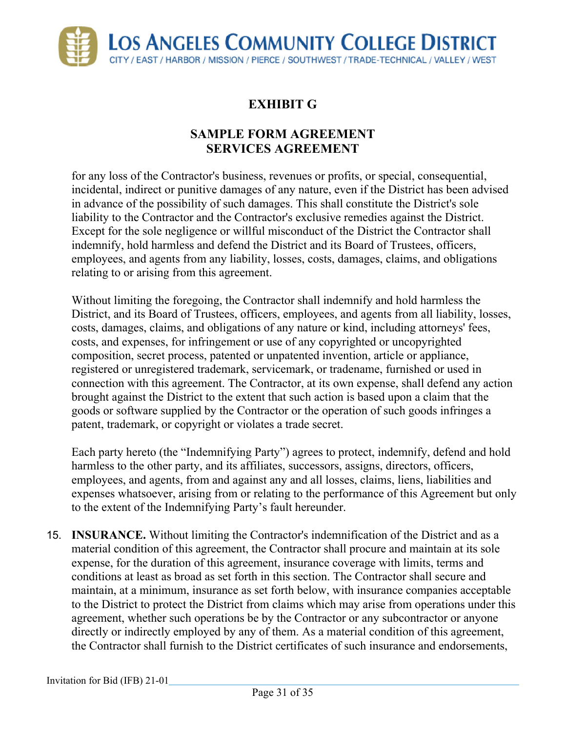

## **SAMPLE FORM AGREEMENT SERVICES AGREEMENT**

for any loss of the Contractor's business, revenues or profits, or special, consequential, incidental, indirect or punitive damages of any nature, even if the District has been advised in advance of the possibility of such damages. This shall constitute the District's sole liability to the Contractor and the Contractor's exclusive remedies against the District. Except for the sole negligence or willful misconduct of the District the Contractor shall indemnify, hold harmless and defend the District and its Board of Trustees, officers, employees, and agents from any liability, losses, costs, damages, claims, and obligations relating to or arising from this agreement.

Without limiting the foregoing, the Contractor shall indemnify and hold harmless the District, and its Board of Trustees, officers, employees, and agents from all liability, losses, costs, damages, claims, and obligations of any nature or kind, including attorneys' fees, costs, and expenses, for infringement or use of any copyrighted or uncopyrighted composition, secret process, patented or unpatented invention, article or appliance, registered or unregistered trademark, servicemark, or tradename, furnished or used in connection with this agreement. The Contractor, at its own expense, shall defend any action brought against the District to the extent that such action is based upon a claim that the goods or software supplied by the Contractor or the operation of such goods infringes a patent, trademark, or copyright or violates a trade secret.

Each party hereto (the "Indemnifying Party") agrees to protect, indemnify, defend and hold harmless to the other party, and its affiliates, successors, assigns, directors, officers, employees, and agents, from and against any and all losses, claims, liens, liabilities and expenses whatsoever, arising from or relating to the performance of this Agreement but only to the extent of the Indemnifying Party's fault hereunder.

15. **INSURANCE.** Without limiting the Contractor's indemnification of the District and as a material condition of this agreement, the Contractor shall procure and maintain at its sole expense, for the duration of this agreement, insurance coverage with limits, terms and conditions at least as broad as set forth in this section. The Contractor shall secure and maintain, at a minimum, insurance as set forth below, with insurance companies acceptable to the District to protect the District from claims which may arise from operations under this agreement, whether such operations be by the Contractor or any subcontractor or anyone directly or indirectly employed by any of them. As a material condition of this agreement, the Contractor shall furnish to the District certificates of such insurance and endorsements,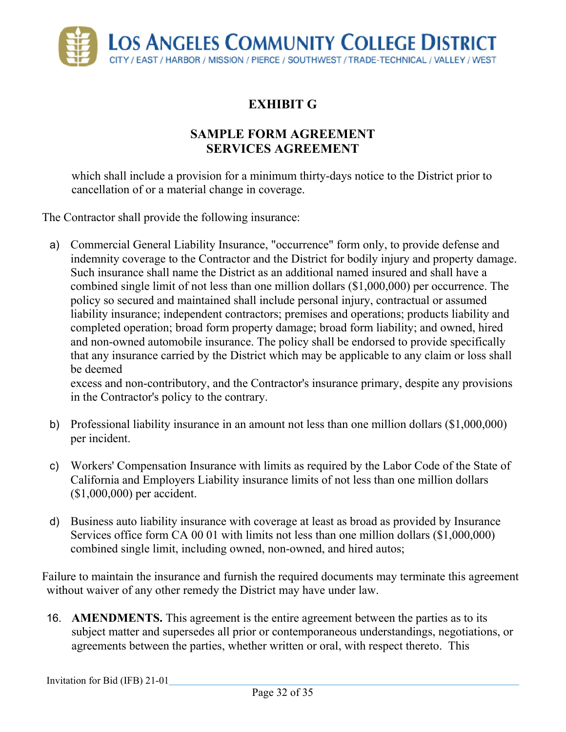

## **SAMPLE FORM AGREEMENT SERVICES AGREEMENT**

which shall include a provision for a minimum thirty-days notice to the District prior to cancellation of or a material change in coverage.

The Contractor shall provide the following insurance:

a) Commercial General Liability Insurance, "occurrence" form only, to provide defense and indemnity coverage to the Contractor and the District for bodily injury and property damage. Such insurance shall name the District as an additional named insured and shall have a combined single limit of not less than one million dollars (\$1,000,000) per occurrence. The policy so secured and maintained shall include personal injury, contractual or assumed liability insurance; independent contractors; premises and operations; products liability and completed operation; broad form property damage; broad form liability; and owned, hired and non-owned automobile insurance. The policy shall be endorsed to provide specifically that any insurance carried by the District which may be applicable to any claim or loss shall be deemed

excess and non-contributory, and the Contractor's insurance primary, despite any provisions in the Contractor's policy to the contrary.

- b) Professional liability insurance in an amount not less than one million dollars (\$1,000,000) per incident.
- c) Workers' Compensation Insurance with limits as required by the Labor Code of the State of California and Employers Liability insurance limits of not less than one million dollars (\$1,000,000) per accident.
- d) Business auto liability insurance with coverage at least as broad as provided by Insurance Services office form CA 00 01 with limits not less than one million dollars (\$1,000,000) combined single limit, including owned, non-owned, and hired autos;

Failure to maintain the insurance and furnish the required documents may terminate this agreement without waiver of any other remedy the District may have under law.

16. **AMENDMENTS.** This agreement is the entire agreement between the parties as to its subject matter and supersedes all prior or contemporaneous understandings, negotiations, or agreements between the parties, whether written or oral, with respect thereto. This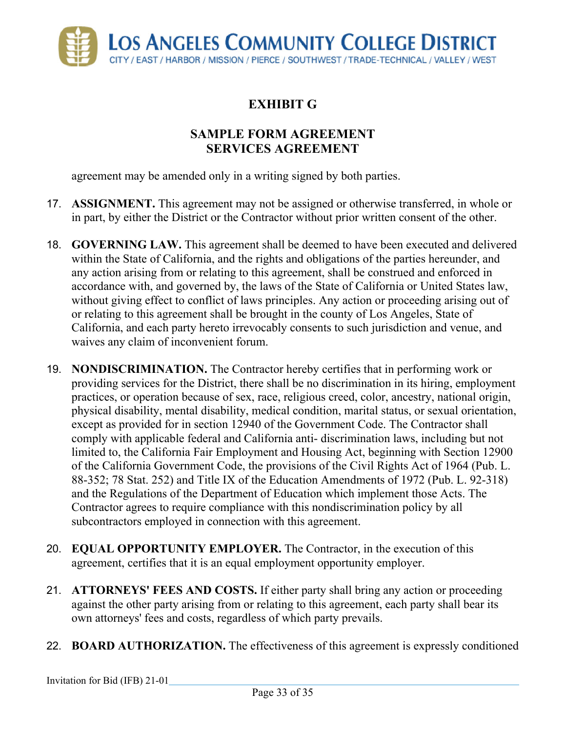

## **SAMPLE FORM AGREEMENT SERVICES AGREEMENT**

agreement may be amended only in a writing signed by both parties.

- 17. **ASSIGNMENT.** This agreement may not be assigned or otherwise transferred, in whole or in part, by either the District or the Contractor without prior written consent of the other.
- 18. **GOVERNING LAW.** This agreement shall be deemed to have been executed and delivered within the State of California, and the rights and obligations of the parties hereunder, and any action arising from or relating to this agreement, shall be construed and enforced in accordance with, and governed by, the laws of the State of California or United States law, without giving effect to conflict of laws principles. Any action or proceeding arising out of or relating to this agreement shall be brought in the county of Los Angeles, State of California, and each party hereto irrevocably consents to such jurisdiction and venue, and waives any claim of inconvenient forum.
- 19. **NONDISCRIMINATION.** The Contractor hereby certifies that in performing work or providing services for the District, there shall be no discrimination in its hiring, employment practices, or operation because of sex, race, religious creed, color, ancestry, national origin, physical disability, mental disability, medical condition, marital status, or sexual orientation, except as provided for in section 12940 of the Government Code. The Contractor shall comply with applicable federal and California anti- discrimination laws, including but not limited to, the California Fair Employment and Housing Act, beginning with Section 12900 of the California Government Code, the provisions of the Civil Rights Act of 1964 (Pub. L. 88-352; 78 Stat. 252) and Title IX of the Education Amendments of 1972 (Pub. L. 92-318) and the Regulations of the Department of Education which implement those Acts. The Contractor agrees to require compliance with this nondiscrimination policy by all subcontractors employed in connection with this agreement.
- 20. **EQUAL OPPORTUNITY EMPLOYER.** The Contractor, in the execution of this agreement, certifies that it is an equal employment opportunity employer.
- 21. **ATTORNEYS' FEES AND COSTS.** If either party shall bring any action or proceeding against the other party arising from or relating to this agreement, each party shall bear its own attorneys' fees and costs, regardless of which party prevails.
- 22. **BOARD AUTHORIZATION.** The effectiveness of this agreement is expressly conditioned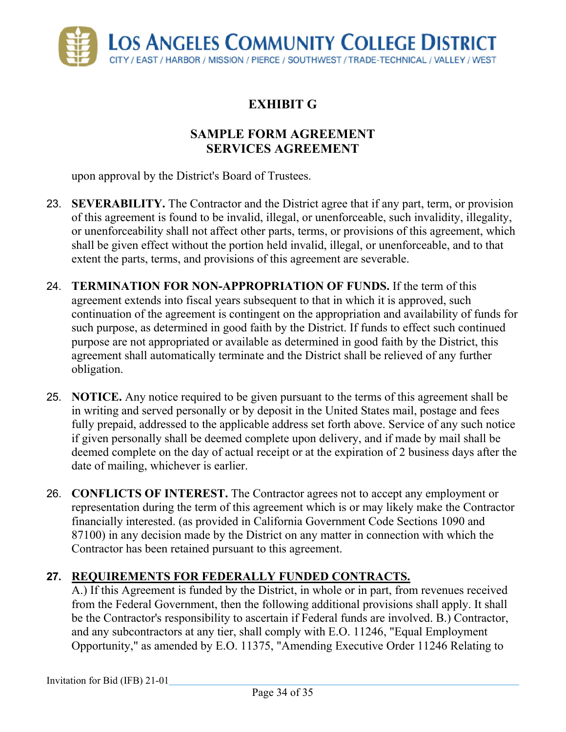

## **SAMPLE FORM AGREEMENT SERVICES AGREEMENT**

upon approval by the District's Board of Trustees.

- 23. **SEVERABILITY.** The Contractor and the District agree that if any part, term, or provision of this agreement is found to be invalid, illegal, or unenforceable, such invalidity, illegality, or unenforceability shall not affect other parts, terms, or provisions of this agreement, which shall be given effect without the portion held invalid, illegal, or unenforceable, and to that extent the parts, terms, and provisions of this agreement are severable.
- 24. **TERMINATION FOR NON-APPROPRIATION OF FUNDS.** If the term of this agreement extends into fiscal years subsequent to that in which it is approved, such continuation of the agreement is contingent on the appropriation and availability of funds for such purpose, as determined in good faith by the District. If funds to effect such continued purpose are not appropriated or available as determined in good faith by the District, this agreement shall automatically terminate and the District shall be relieved of any further obligation.
- 25. **NOTICE.** Any notice required to be given pursuant to the terms of this agreement shall be in writing and served personally or by deposit in the United States mail, postage and fees fully prepaid, addressed to the applicable address set forth above. Service of any such notice if given personally shall be deemed complete upon delivery, and if made by mail shall be deemed complete on the day of actual receipt or at the expiration of 2 business days after the date of mailing, whichever is earlier.
- 26. **CONFLICTS OF INTEREST.** The Contractor agrees not to accept any employment or representation during the term of this agreement which is or may likely make the Contractor financially interested. (as provided in California Government Code Sections 1090 and 87100) in any decision made by the District on any matter in connection with which the Contractor has been retained pursuant to this agreement.

### **27. REQUIREMENTS FOR FEDERALLY FUNDED CONTRACTS.**

A.) If this Agreement is funded by the District, in whole or in part, from revenues received from the Federal Government, then the following additional provisions shall apply. It shall be the Contractor's responsibility to ascertain if Federal funds are involved. B.) Contractor, and any subcontractors at any tier, shall comply with E.O. 11246, "Equal Employment Opportunity," as amended by E.O. 11375, "Amending Executive Order 11246 Relating to